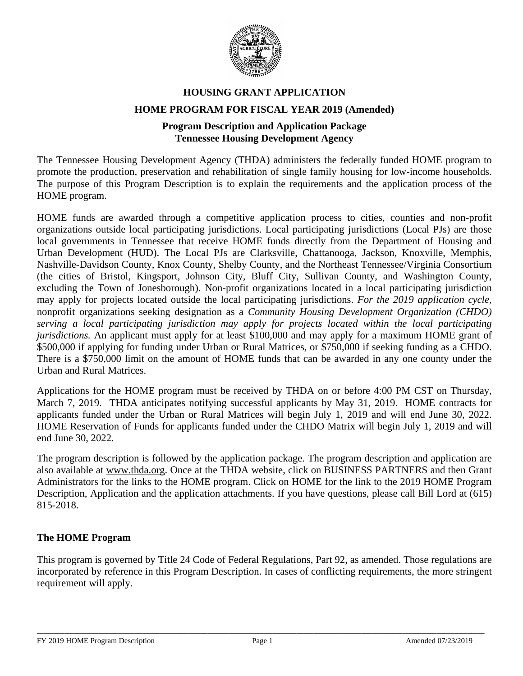

# **HOUSING GRANT APPLICATION HOME PROGRAM FOR FISCAL YEAR 2019 (Amended)**

# **Program Description and Application Package Tennessee Housing Development Agency**

The Tennessee Housing Development Agency (THDA) administers the federally funded HOME program to promote the production, preservation and rehabilitation of single family housing for low-income households. The purpose of this Program Description is to explain the requirements and the application process of the HOME program.

HOME funds are awarded through a competitive application process to cities, counties and non-profit organizations outside local participating jurisdictions. Local participating jurisdictions (Local PJs) are those local governments in Tennessee that receive HOME funds directly from the Department of Housing and Urban Development (HUD). The Local PJs are Clarksville, Chattanooga, Jackson, Knoxville, Memphis, Nashville-Davidson County, Knox County, Shelby County, and the Northeast Tennessee/Virginia Consortium (the cities of Bristol, Kingsport, Johnson City, Bluff City, Sullivan County, and Washington County, excluding the Town of Jonesborough). Non-profit organizations located in a local participating jurisdiction may apply for projects located outside the local participating jurisdictions. *For the 2019 application cycle,* nonprofit organizations seeking designation as a *Community Housing Development Organization (CHDO) serving a local participating jurisdiction may apply for projects located within the local participating jurisdictions.* An applicant must apply for at least \$100,000 and may apply for a maximum HOME grant of \$500,000 if applying for funding under Urban or Rural Matrices, or \$750,000 if seeking funding as a CHDO. There is a \$750,000 limit on the amount of HOME funds that can be awarded in any one county under the Urban and Rural Matrices.

Applications for the HOME program must be received by THDA on or before 4:00 PM CST on Thursday, March 7, 2019. THDA anticipates notifying successful applicants by May 31, 2019. HOME contracts for applicants funded under the Urban or Rural Matrices will begin July 1, 2019 and will end June 30, 2022. HOME Reservation of Funds for applicants funded under the CHDO Matrix will begin July 1, 2019 and will end June 30, 2022.

The program description is followed by the application package. The program description and application are also available at [www.thda.org.](http://www.thda.org/) Once at the THDA website, click on BUSINESS PARTNERS and then Grant Administrators for the links to the HOME program. Click on HOME for the link to the 2019 HOME Program Description, Application and the application attachments. If you have questions, please call Bill Lord at (615) 815-2018.

### **The HOME Program**

This program is governed by Title 24 Code of Federal Regulations, Part 92, as amended. Those regulations are incorporated by reference in this Program Description. In cases of conflicting requirements, the more stringent requirement will apply.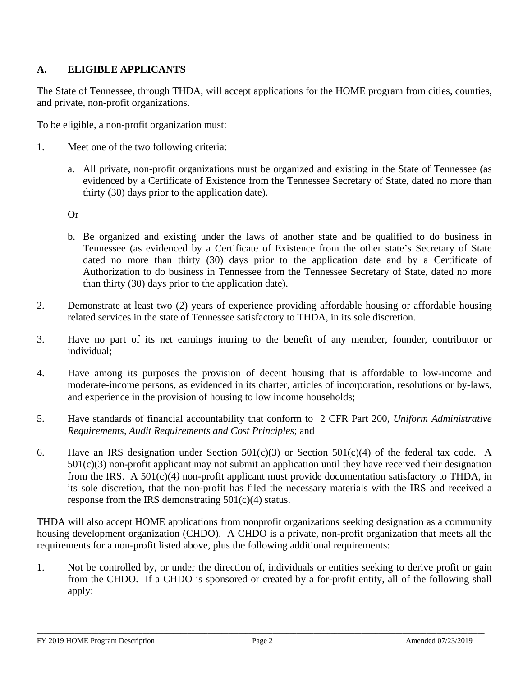# **A. ELIGIBLE APPLICANTS**

The State of Tennessee, through THDA, will accept applications for the HOME program from cities, counties, and private, non-profit organizations.

To be eligible, a non-profit organization must:

- 1. Meet one of the two following criteria:
	- a. All private, non-profit organizations must be organized and existing in the State of Tennessee (as evidenced by a Certificate of Existence from the Tennessee Secretary of State, dated no more than thirty (30) days prior to the application date).

Or

- b. Be organized and existing under the laws of another state and be qualified to do business in Tennessee (as evidenced by a Certificate of Existence from the other state's Secretary of State dated no more than thirty (30) days prior to the application date and by a Certificate of Authorization to do business in Tennessee from the Tennessee Secretary of State, dated no more than thirty (30) days prior to the application date).
- 2. Demonstrate at least two (2) years of experience providing affordable housing or affordable housing related services in the state of Tennessee satisfactory to THDA, in its sole discretion.
- 3. Have no part of its net earnings inuring to the benefit of any member, founder, contributor or individual;
- 4. Have among its purposes the provision of decent housing that is affordable to low-income and moderate-income persons, as evidenced in its charter, articles of incorporation, resolutions or by-laws, and experience in the provision of housing to low income households;
- 5. Have standards of financial accountability that conform to 2 CFR Part 200, *Uniform Administrative Requirements, Audit Requirements and Cost Principles*; and
- 6. Have an IRS designation under Section  $501(c)(3)$  or Section  $501(c)(4)$  of the federal tax code. A 501(c)(3) non-profit applicant may not submit an application until they have received their designation from the IRS. A 501(c)(4*)* non-profit applicant must provide documentation satisfactory to THDA, in its sole discretion, that the non-profit has filed the necessary materials with the IRS and received a response from the IRS demonstrating  $501(c)(4)$  status.

THDA will also accept HOME applications from nonprofit organizations seeking designation as a community housing development organization (CHDO). A CHDO is a private, non-profit organization that meets all the requirements for a non-profit listed above, plus the following additional requirements:

1. Not be controlled by, or under the direction of, individuals or entities seeking to derive profit or gain from the CHDO. If a CHDO is sponsored or created by a for-profit entity, all of the following shall apply: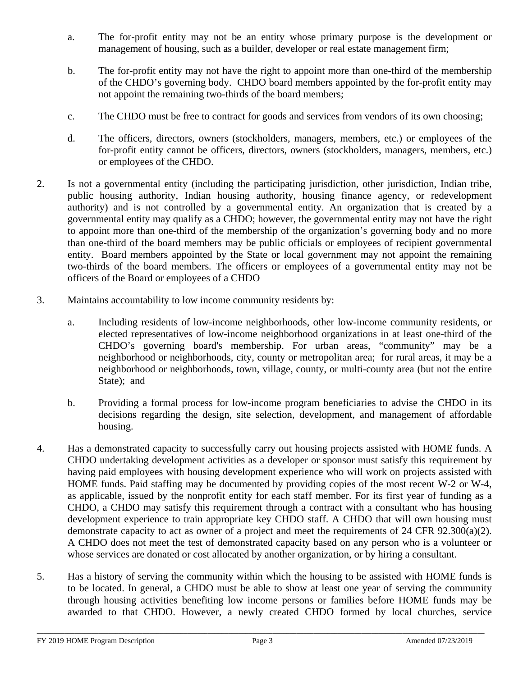- a. The for-profit entity may not be an entity whose primary purpose is the development or management of housing, such as a builder, developer or real estate management firm;
- b. The for-profit entity may not have the right to appoint more than one-third of the membership of the CHDO's governing body. CHDO board members appointed by the for-profit entity may not appoint the remaining two-thirds of the board members;
- c. The CHDO must be free to contract for goods and services from vendors of its own choosing;
- d. The officers, directors, owners (stockholders, managers, members, etc.) or employees of the for-profit entity cannot be officers, directors, owners (stockholders, managers, members, etc.) or employees of the CHDO.
- 2. Is not a governmental entity (including the participating jurisdiction, other jurisdiction, Indian tribe, public housing authority, Indian housing authority, housing finance agency, or redevelopment authority) and is not controlled by a governmental entity. An organization that is created by a governmental entity may qualify as a CHDO; however, the governmental entity may not have the right to appoint more than one-third of the membership of the organization's governing body and no more than one-third of the board members may be public officials or employees of recipient governmental entity. Board members appointed by the State or local government may not appoint the remaining two-thirds of the board members*.* The officers or employees of a governmental entity may not be officers of the Board or employees of a CHDO
- 3. Maintains accountability to low income community residents by:
	- a. Including residents of low-income neighborhoods, other low-income community residents, or elected representatives of low-income neighborhood organizations in at least one-third of the CHDO's governing board's membership. For urban areas, "community" may be a neighborhood or neighborhoods, city, county or metropolitan area; for rural areas, it may be a neighborhood or neighborhoods, town, village, county, or multi-county area (but not the entire State); and
	- b. Providing a formal process for low-income program beneficiaries to advise the CHDO in its decisions regarding the design, site selection, development, and management of affordable housing.
- 4. Has a demonstrated capacity to successfully carry out housing projects assisted with HOME funds. A CHDO undertaking development activities as a developer or sponsor must satisfy this requirement by having paid employees with housing development experience who will work on projects assisted with HOME funds. Paid staffing may be documented by providing copies of the most recent W-2 or W-4, as applicable, issued by the nonprofit entity for each staff member. For its first year of funding as a CHDO, a CHDO may satisfy this requirement through a contract with a consultant who has housing development experience to train appropriate key CHDO staff. A CHDO that will own housing must demonstrate capacity to act as owner of a project and meet the requirements of 24 CFR 92.300(a)(2). A CHDO does not meet the test of demonstrated capacity based on any person who is a volunteer or whose services are donated or cost allocated by another organization, or by hiring a consultant.
- 5. Has a history of serving the community within which the housing to be assisted with HOME funds is to be located. In general, a CHDO must be able to show at least one year of serving the community through housing activities benefiting low income persons or families before HOME funds may be awarded to that CHDO. However, a newly created CHDO formed by local churches, service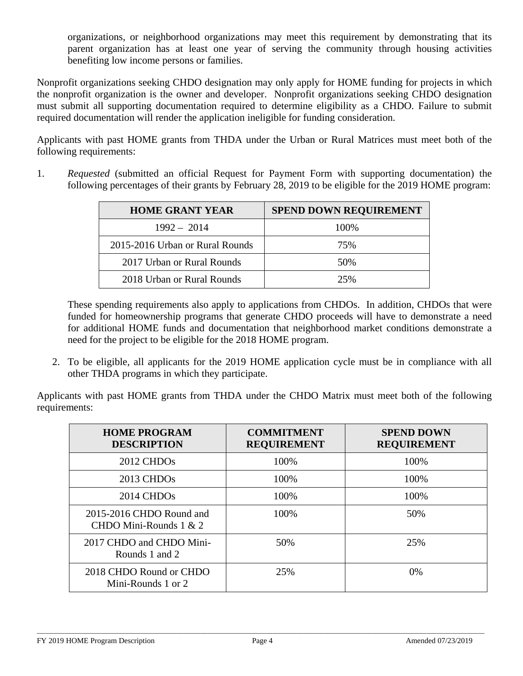organizations, or neighborhood organizations may meet this requirement by demonstrating that its parent organization has at least one year of serving the community through housing activities benefiting low income persons or families.

Nonprofit organizations seeking CHDO designation may only apply for HOME funding for projects in which the nonprofit organization is the owner and developer. Nonprofit organizations seeking CHDO designation must submit all supporting documentation required to determine eligibility as a CHDO. Failure to submit required documentation will render the application ineligible for funding consideration.

Applicants with past HOME grants from THDA under the Urban or Rural Matrices must meet both of the following requirements:

1. *Requested* (submitted an official Request for Payment Form with supporting documentation) the following percentages of their grants by February 28, 2019 to be eligible for the 2019 HOME program:

| <b>HOME GRANT YEAR</b>          | <b>SPEND DOWN REQUIREMENT</b> |
|---------------------------------|-------------------------------|
| $1992 - 2014$                   | 100%                          |
| 2015-2016 Urban or Rural Rounds | 75%                           |
| 2017 Urban or Rural Rounds      | 50%                           |
| 2018 Urban or Rural Rounds      | 25%                           |

These spending requirements also apply to applications from CHDOs. In addition, CHDOs that were funded for homeownership programs that generate CHDO proceeds will have to demonstrate a need for additional HOME funds and documentation that neighborhood market conditions demonstrate a need for the project to be eligible for the 2018 HOME program.

2. To be eligible, all applicants for the 2019 HOME application cycle must be in compliance with all other THDA programs in which they participate.

Applicants with past HOME grants from THDA under the CHDO Matrix must meet both of the following requirements:

| <b>HOME PROGRAM</b><br><b>DESCRIPTION</b>            | <b>COMMITMENT</b><br><b>REQUIREMENT</b> | <b>SPEND DOWN</b><br><b>REQUIREMENT</b> |
|------------------------------------------------------|-----------------------------------------|-----------------------------------------|
| 2012 CHDO <sub>s</sub>                               | 100%                                    | 100%                                    |
| $2013$ CHDOs                                         | 100%                                    | 100%                                    |
| $2014$ CHDOs                                         | 100%                                    | 100%                                    |
| 2015-2016 CHDO Round and<br>CHDO Mini-Rounds $1 & 2$ | 100%                                    | 50%                                     |
| 2017 CHDO and CHDO Mini-<br>Rounds 1 and 2           | 50%                                     | 25%                                     |
| 2018 CHDO Round or CHDO<br>Mini-Rounds 1 or 2        | 25%                                     | 0%                                      |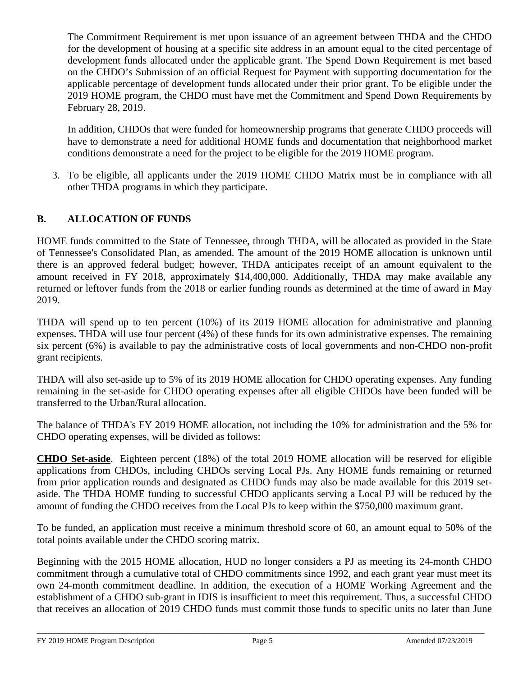The Commitment Requirement is met upon issuance of an agreement between THDA and the CHDO for the development of housing at a specific site address in an amount equal to the cited percentage of development funds allocated under the applicable grant. The Spend Down Requirement is met based on the CHDO's Submission of an official Request for Payment with supporting documentation for the applicable percentage of development funds allocated under their prior grant. To be eligible under the 2019 HOME program, the CHDO must have met the Commitment and Spend Down Requirements by February 28, 2019.

In addition, CHDOs that were funded for homeownership programs that generate CHDO proceeds will have to demonstrate a need for additional HOME funds and documentation that neighborhood market conditions demonstrate a need for the project to be eligible for the 2019 HOME program.

3. To be eligible, all applicants under the 2019 HOME CHDO Matrix must be in compliance with all other THDA programs in which they participate.

# **B. ALLOCATION OF FUNDS**

HOME funds committed to the State of Tennessee, through THDA, will be allocated as provided in the State of Tennessee's Consolidated Plan, as amended. The amount of the 2019 HOME allocation is unknown until there is an approved federal budget; however, THDA anticipates receipt of an amount equivalent to the amount received in FY 2018, approximately \$14,400,000. Additionally, THDA may make available any returned or leftover funds from the 2018 or earlier funding rounds as determined at the time of award in May 2019.

THDA will spend up to ten percent (10%) of its 2019 HOME allocation for administrative and planning expenses. THDA will use four percent (4%) of these funds for its own administrative expenses. The remaining six percent (6%) is available to pay the administrative costs of local governments and non-CHDO non-profit grant recipients.

THDA will also set-aside up to 5% of its 2019 HOME allocation for CHDO operating expenses. Any funding remaining in the set-aside for CHDO operating expenses after all eligible CHDOs have been funded will be transferred to the Urban/Rural allocation.

The balance of THDA's FY 2019 HOME allocation, not including the 10% for administration and the 5% for CHDO operating expenses, will be divided as follows:

**CHDO Set-aside**. Eighteen percent (18%) of the total 2019 HOME allocation will be reserved for eligible applications from CHDOs, including CHDOs serving Local PJs. Any HOME funds remaining or returned from prior application rounds and designated as CHDO funds may also be made available for this 2019 setaside. The THDA HOME funding to successful CHDO applicants serving a Local PJ will be reduced by the amount of funding the CHDO receives from the Local PJs to keep within the \$750,000 maximum grant.

To be funded, an application must receive a minimum threshold score of 60, an amount equal to 50% of the total points available under the CHDO scoring matrix.

Beginning with the 2015 HOME allocation, HUD no longer considers a PJ as meeting its 24-month CHDO commitment through a cumulative total of CHDO commitments since 1992, and each grant year must meet its own 24-month commitment deadline. In addition, the execution of a HOME Working Agreement and the establishment of a CHDO sub-grant in IDIS is insufficient to meet this requirement. Thus, a successful CHDO that receives an allocation of 2019 CHDO funds must commit those funds to specific units no later than June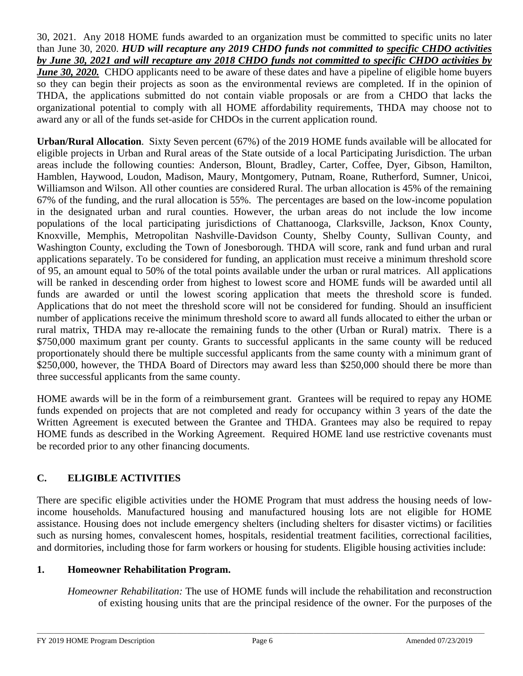30, 2021. Any 2018 HOME funds awarded to an organization must be committed to specific units no later than June 30, 2020. *HUD will recapture any 2019 CHDO funds not committed to specific CHDO activities by June 30, 2021 and will recapture any 2018 CHDO funds not committed to specific CHDO activities by June 30, 2020.* CHDO applicants need to be aware of these dates and have a pipeline of eligible home buyers so they can begin their projects as soon as the environmental reviews are completed. If in the opinion of THDA, the applications submitted do not contain viable proposals or are from a CHDO that lacks the organizational potential to comply with all HOME affordability requirements, THDA may choose not to award any or all of the funds set-aside for CHDOs in the current application round.

**Urban/Rural Allocation**. Sixty Seven percent (67%) of the 2019 HOME funds available will be allocated for eligible projects in Urban and Rural areas of the State outside of a local Participating Jurisdiction. The urban areas include the following counties: Anderson, Blount, Bradley, Carter, Coffee, Dyer, Gibson, Hamilton, Hamblen, Haywood, Loudon, Madison, Maury, Montgomery, Putnam, Roane, Rutherford, Sumner, Unicoi, Williamson and Wilson. All other counties are considered Rural. The urban allocation is 45% of the remaining 67% of the funding, and the rural allocation is 55%. The percentages are based on the low-income population in the designated urban and rural counties. However, the urban areas do not include the low income populations of the local participating jurisdictions of Chattanooga, Clarksville, Jackson, Knox County, Knoxville, Memphis, Metropolitan Nashville-Davidson County, Shelby County, Sullivan County, and Washington County, excluding the Town of Jonesborough. THDA will score, rank and fund urban and rural applications separately. To be considered for funding, an application must receive a minimum threshold score of 95, an amount equal to 50% of the total points available under the urban or rural matrices. All applications will be ranked in descending order from highest to lowest score and HOME funds will be awarded until all funds are awarded or until the lowest scoring application that meets the threshold score is funded. Applications that do not meet the threshold score will not be considered for funding. Should an insufficient number of applications receive the minimum threshold score to award all funds allocated to either the urban or rural matrix, THDA may re-allocate the remaining funds to the other (Urban or Rural) matrix. There is a \$750,000 maximum grant per county. Grants to successful applicants in the same county will be reduced proportionately should there be multiple successful applicants from the same county with a minimum grant of \$250,000, however, the THDA Board of Directors may award less than \$250,000 should there be more than three successful applicants from the same county.

HOME awards will be in the form of a reimbursement grant. Grantees will be required to repay any HOME funds expended on projects that are not completed and ready for occupancy within 3 years of the date the Written Agreement is executed between the Grantee and THDA. Grantees may also be required to repay HOME funds as described in the Working Agreement. Required HOME land use restrictive covenants must be recorded prior to any other financing documents.

# **C. ELIGIBLE ACTIVITIES**

There are specific eligible activities under the HOME Program that must address the housing needs of lowincome households. Manufactured housing and manufactured housing lots are not eligible for HOME assistance. Housing does not include emergency shelters (including shelters for disaster victims) or facilities such as nursing homes, convalescent homes, hospitals, residential treatment facilities, correctional facilities, and dormitories, including those for farm workers or housing for students. Eligible housing activities include:

### **1. Homeowner Rehabilitation Program.**

*Homeowner Rehabilitation:* The use of HOME funds will include the rehabilitation and reconstruction of existing housing units that are the principal residence of the owner. For the purposes of the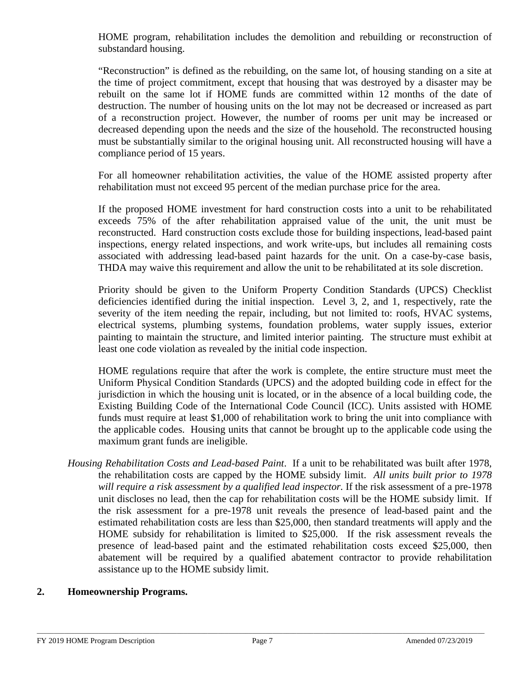HOME program, rehabilitation includes the demolition and rebuilding or reconstruction of substandard housing.

"Reconstruction" is defined as the rebuilding, on the same lot, of housing standing on a site at the time of project commitment, except that housing that was destroyed by a disaster may be rebuilt on the same lot if HOME funds are committed within 12 months of the date of destruction. The number of housing units on the lot may not be decreased or increased as part of a reconstruction project. However, the number of rooms per unit may be increased or decreased depending upon the needs and the size of the household. The reconstructed housing must be substantially similar to the original housing unit. All reconstructed housing will have a compliance period of 15 years.

For all homeowner rehabilitation activities, the value of the HOME assisted property after rehabilitation must not exceed 95 percent of the median purchase price for the area.

If the proposed HOME investment for hard construction costs into a unit to be rehabilitated exceeds 75% of the after rehabilitation appraised value of the unit, the unit must be reconstructed. Hard construction costs exclude those for building inspections, lead-based paint inspections, energy related inspections, and work write-ups, but includes all remaining costs associated with addressing lead-based paint hazards for the unit. On a case-by-case basis, THDA may waive this requirement and allow the unit to be rehabilitated at its sole discretion.

Priority should be given to the Uniform Property Condition Standards (UPCS) Checklist deficiencies identified during the initial inspection. Level 3, 2, and 1, respectively, rate the severity of the item needing the repair, including, but not limited to: roofs, HVAC systems, electrical systems, plumbing systems, foundation problems, water supply issues, exterior painting to maintain the structure, and limited interior painting. The structure must exhibit at least one code violation as revealed by the initial code inspection.

HOME regulations require that after the work is complete, the entire structure must meet the Uniform Physical Condition Standards (UPCS) and the adopted building code in effect for the jurisdiction in which the housing unit is located, or in the absence of a local building code, the Existing Building Code of the International Code Council (ICC). Units assisted with HOME funds must require at least \$1,000 of rehabilitation work to bring the unit into compliance with the applicable codes. Housing units that cannot be brought up to the applicable code using the maximum grant funds are ineligible.

*Housing Rehabilitation Costs and Lead-based Paint*. If a unit to be rehabilitated was built after 1978, the rehabilitation costs are capped by the HOME subsidy limit. *All units built prior to 1978 will require a risk assessment by a qualified lead inspector.* If the risk assessment of a pre-1978 unit discloses no lead, then the cap for rehabilitation costs will be the HOME subsidy limit. If the risk assessment for a pre-1978 unit reveals the presence of lead-based paint and the estimated rehabilitation costs are less than \$25,000, then standard treatments will apply and the HOME subsidy for rehabilitation is limited to \$25,000. If the risk assessment reveals the presence of lead-based paint and the estimated rehabilitation costs exceed \$25,000, then abatement will be required by a qualified abatement contractor to provide rehabilitation assistance up to the HOME subsidy limit.

## **2. Homeownership Programs.**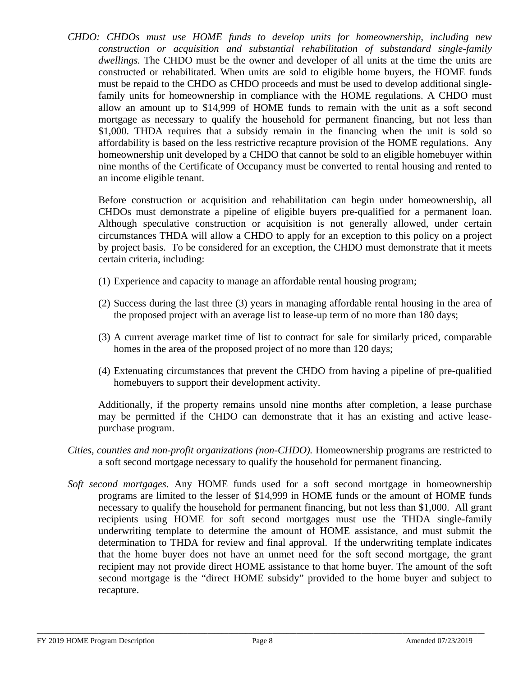*CHDO: CHDOs must use HOME funds to develop units for homeownership, including new construction or acquisition and substantial rehabilitation of substandard single-family dwellings.* The CHDO must be the owner and developer of all units at the time the units are constructed or rehabilitated. When units are sold to eligible home buyers, the HOME funds must be repaid to the CHDO as CHDO proceeds and must be used to develop additional singlefamily units for homeownership in compliance with the HOME regulations. A CHDO must allow an amount up to \$14,999 of HOME funds to remain with the unit as a soft second mortgage as necessary to qualify the household for permanent financing, but not less than \$1,000. THDA requires that a subsidy remain in the financing when the unit is sold so affordability is based on the less restrictive recapture provision of the HOME regulations. Any homeownership unit developed by a CHDO that cannot be sold to an eligible homebuyer within nine months of the Certificate of Occupancy must be converted to rental housing and rented to an income eligible tenant.

Before construction or acquisition and rehabilitation can begin under homeownership, all CHDOs must demonstrate a pipeline of eligible buyers pre-qualified for a permanent loan. Although speculative construction or acquisition is not generally allowed, under certain circumstances THDA will allow a CHDO to apply for an exception to this policy on a project by project basis. To be considered for an exception, the CHDO must demonstrate that it meets certain criteria, including:

- (1) Experience and capacity to manage an affordable rental housing program;
- (2) Success during the last three (3) years in managing affordable rental housing in the area of the proposed project with an average list to lease-up term of no more than 180 days;
- (3) A current average market time of list to contract for sale for similarly priced, comparable homes in the area of the proposed project of no more than 120 days;
- (4) Extenuating circumstances that prevent the CHDO from having a pipeline of pre-qualified homebuyers to support their development activity.

Additionally, if the property remains unsold nine months after completion, a lease purchase may be permitted if the CHDO can demonstrate that it has an existing and active leasepurchase program.

- *Cities, counties and non-profit organizations (non-CHDO).* Homeownership programs are restricted to a soft second mortgage necessary to qualify the household for permanent financing.
- *Soft second mortgages.* Any HOME funds used for a soft second mortgage in homeownership programs are limited to the lesser of \$14,999 in HOME funds or the amount of HOME funds necessary to qualify the household for permanent financing, but not less than \$1,000. All grant recipients using HOME for soft second mortgages must use the THDA single-family underwriting template to determine the amount of HOME assistance, and must submit the determination to THDA for review and final approval. If the underwriting template indicates that the home buyer does not have an unmet need for the soft second mortgage, the grant recipient may not provide direct HOME assistance to that home buyer. The amount of the soft second mortgage is the "direct HOME subsidy" provided to the home buyer and subject to recapture.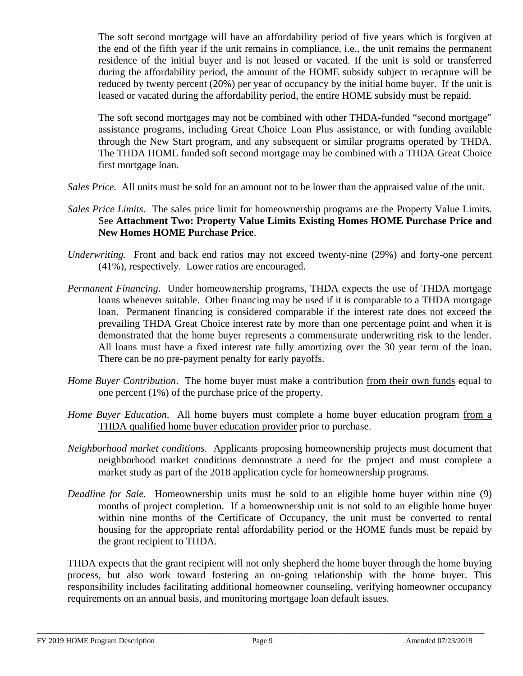The soft second mortgage will have an affordability period of five years which is forgiven at the end of the fifth year if the unit remains in compliance, i.e., the unit remains the permanent residence of the initial buyer and is not leased or vacated. If the unit is sold or transferred during the affordability period, the amount of the HOME subsidy subject to recapture will be reduced by twenty percent (20%) per year of occupancy by the initial home buyer. If the unit is leased or vacated during the affordability period, the entire HOME subsidy must be repaid.

The soft second mortgages may not be combined with other THDA-funded "second mortgage" assistance programs, including Great Choice Loan Plus assistance, or with funding available through the New Start program, and any subsequent or similar programs operated by THDA. The THDA HOME funded soft second mortgage may be combined with a THDA Great Choice first mortgage loan.

- *Sales Price.* All units must be sold for an amount not to be lower than the appraised value of the unit.
- *Sales Price Limits.* The sales price limit for homeownership programs are the Property Value Limits. See **Attachment Two: Property Value Limits Existing Homes HOME Purchase Price and New Homes HOME Purchase Price**.
- *Underwriting.* Front and back end ratios may not exceed twenty-nine (29%) and forty-one percent (41%), respectively. Lower ratios are encouraged.
- *Permanent Financing*. Under homeownership programs, THDA expects the use of THDA mortgage loans whenever suitable. Other financing may be used if it is comparable to a THDA mortgage loan. Permanent financing is considered comparable if the interest rate does not exceed the prevailing THDA Great Choice interest rate by more than one percentage point and when it is demonstrated that the home buyer represents a commensurate underwriting risk to the lender. All loans must have a fixed interest rate fully amortizing over the 30 year term of the loan. There can be no pre-payment penalty for early payoffs.
- *Home Buyer Contribution*. The home buyer must make a contribution from their own funds equal to one percent (1%) of the purchase price of the property.
- *Home Buyer Education*. All home buyers must complete a home buyer education program from a THDA qualified home buyer education provider prior to purchase.
- *Neighborhood market conditions*. Applicants proposing homeownership projects must document that neighborhood market conditions demonstrate a need for the project and must complete a market study as part of the 2018 application cycle for homeownership programs.
- *Deadline for Sale.* Homeownership units must be sold to an eligible home buyer within nine (9) months of project completion. If a homeownership unit is not sold to an eligible home buyer within nine months of the Certificate of Occupancy, the unit must be converted to rental housing for the appropriate rental affordability period or the HOME funds must be repaid by the grant recipient to THDA.

THDA expects that the grant recipient will not only shepherd the home buyer through the home buying process, but also work toward fostering an on-going relationship with the home buyer. This responsibility includes facilitating additional homeowner counseling, verifying homeowner occupancy requirements on an annual basis, and monitoring mortgage loan default issues.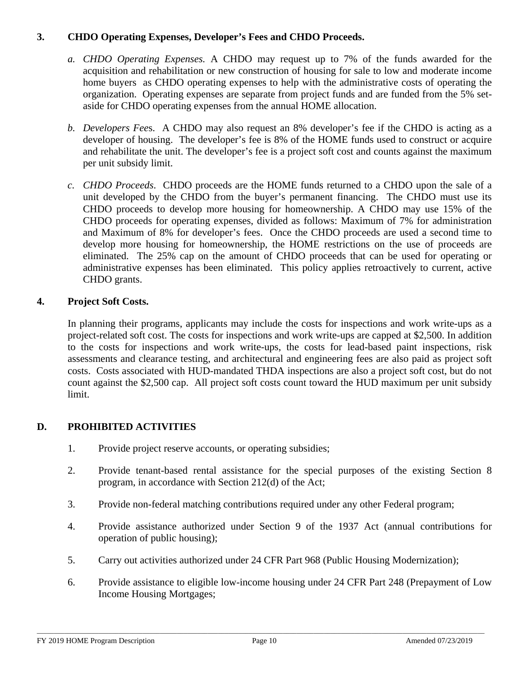# **3. CHDO Operating Expenses, Developer's Fees and CHDO Proceeds.**

- *a. CHDO Operating Expenses.* A CHDO may request up to 7% of the funds awarded for the acquisition and rehabilitation or new construction of housing for sale to low and moderate income home buyers as CHDO operating expenses to help with the administrative costs of operating the organization. Operating expenses are separate from project funds and are funded from the 5% setaside for CHDO operating expenses from the annual HOME allocation.
- *b. Developers Fee*s. A CHDO may also request an 8% developer's fee if the CHDO is acting as a developer of housing. The developer's fee is 8% of the HOME funds used to construct or acquire and rehabilitate the unit. The developer's fee is a project soft cost and counts against the maximum per unit subsidy limit.
- *c. CHDO Proceeds*. CHDO proceeds are the HOME funds returned to a CHDO upon the sale of a unit developed by the CHDO from the buyer's permanent financing. The CHDO must use its CHDO proceeds to develop more housing for homeownership. A CHDO may use 15% of the CHDO proceeds for operating expenses, divided as follows: Maximum of 7% for administration and Maximum of 8% for developer's fees. Once the CHDO proceeds are used a second time to develop more housing for homeownership, the HOME restrictions on the use of proceeds are eliminated. The 25% cap on the amount of CHDO proceeds that can be used for operating or administrative expenses has been eliminated. This policy applies retroactively to current, active CHDO grants.

### **4. Project Soft Costs.**

In planning their programs, applicants may include the costs for inspections and work write-ups as a project-related soft cost. The costs for inspections and work write-ups are capped at \$2,500. In addition to the costs for inspections and work write-ups, the costs for lead-based paint inspections, risk assessments and clearance testing, and architectural and engineering fees are also paid as project soft costs. Costs associated with HUD-mandated THDA inspections are also a project soft cost, but do not count against the \$2,500 cap. All project soft costs count toward the HUD maximum per unit subsidy limit.

# **D. PROHIBITED ACTIVITIES**

- 1. Provide project reserve accounts, or operating subsidies;
- 2. Provide tenant-based rental assistance for the special purposes of the existing Section 8 program, in accordance with Section 212(d) of the Act;
- 3. Provide non-federal matching contributions required under any other Federal program;
- 4. Provide assistance authorized under Section 9 of the 1937 Act (annual contributions for operation of public housing);
- 5. Carry out activities authorized under 24 CFR Part 968 (Public Housing Modernization);
- 6. Provide assistance to eligible low-income housing under 24 CFR Part 248 (Prepayment of Low Income Housing Mortgages;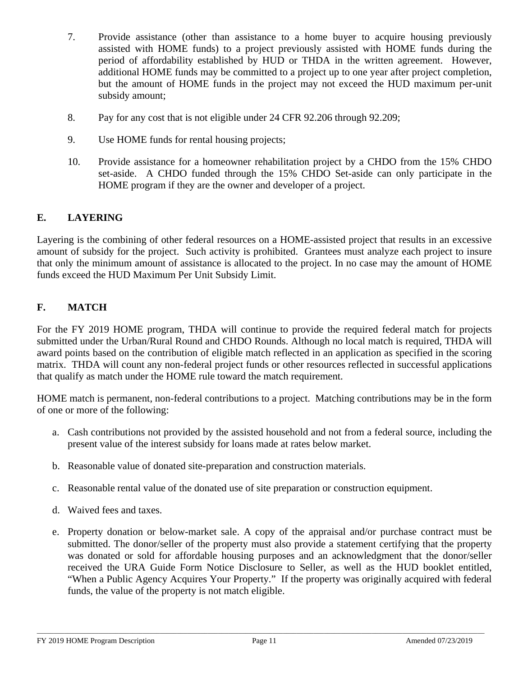- 7. Provide assistance (other than assistance to a home buyer to acquire housing previously assisted with HOME funds) to a project previously assisted with HOME funds during the period of affordability established by HUD or THDA in the written agreement. However, additional HOME funds may be committed to a project up to one year after project completion, but the amount of HOME funds in the project may not exceed the HUD maximum per-unit subsidy amount;
- 8. Pay for any cost that is not eligible under 24 CFR 92.206 through 92.209;
- 9. Use HOME funds for rental housing projects;
- 10. Provide assistance for a homeowner rehabilitation project by a CHDO from the 15% CHDO set-aside. A CHDO funded through the 15% CHDO Set-aside can only participate in the HOME program if they are the owner and developer of a project.

# **E. LAYERING**

Layering is the combining of other federal resources on a HOME-assisted project that results in an excessive amount of subsidy for the project. Such activity is prohibited. Grantees must analyze each project to insure that only the minimum amount of assistance is allocated to the project. In no case may the amount of HOME funds exceed the HUD Maximum Per Unit Subsidy Limit.

# **F. MATCH**

For the FY 2019 HOME program, THDA will continue to provide the required federal match for projects submitted under the Urban/Rural Round and CHDO Rounds. Although no local match is required, THDA will award points based on the contribution of eligible match reflected in an application as specified in the scoring matrix. THDA will count any non-federal project funds or other resources reflected in successful applications that qualify as match under the HOME rule toward the match requirement.

HOME match is permanent, non-federal contributions to a project. Matching contributions may be in the form of one or more of the following:

- a. Cash contributions not provided by the assisted household and not from a federal source, including the present value of the interest subsidy for loans made at rates below market.
- b. Reasonable value of donated site-preparation and construction materials.
- c. Reasonable rental value of the donated use of site preparation or construction equipment.
- d. Waived fees and taxes.
- e. Property donation or below-market sale. A copy of the appraisal and/or purchase contract must be submitted. The donor/seller of the property must also provide a statement certifying that the property was donated or sold for affordable housing purposes and an acknowledgment that the donor/seller received the URA Guide Form Notice Disclosure to Seller, as well as the HUD booklet entitled, "When a Public Agency Acquires Your Property." If the property was originally acquired with federal funds, the value of the property is not match eligible.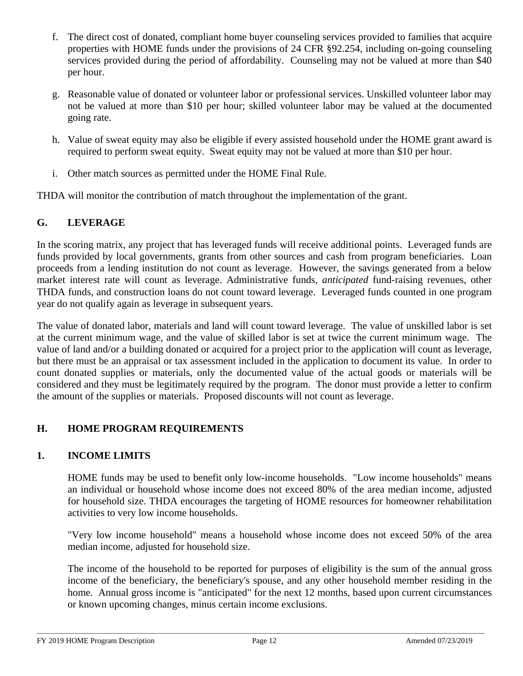- f. The direct cost of donated, compliant home buyer counseling services provided to families that acquire properties with HOME funds under the provisions of 24 CFR §92.254, including on-going counseling services provided during the period of affordability. Counseling may not be valued at more than \$40 per hour.
- g. Reasonable value of donated or volunteer labor or professional services. Unskilled volunteer labor may not be valued at more than \$10 per hour; skilled volunteer labor may be valued at the documented going rate.
- h. Value of sweat equity may also be eligible if every assisted household under the HOME grant award is required to perform sweat equity. Sweat equity may not be valued at more than \$10 per hour.
- i. Other match sources as permitted under the HOME Final Rule.

THDA will monitor the contribution of match throughout the implementation of the grant.

# **G. LEVERAGE**

In the scoring matrix, any project that has leveraged funds will receive additional points. Leveraged funds are funds provided by local governments, grants from other sources and cash from program beneficiaries. Loan proceeds from a lending institution do not count as leverage. However, the savings generated from a below market interest rate will count as leverage. Administrative funds, *anticipated* fund-raising revenues, other THDA funds, and construction loans do not count toward leverage. Leveraged funds counted in one program year do not qualify again as leverage in subsequent years.

The value of donated labor, materials and land will count toward leverage. The value of unskilled labor is set at the current minimum wage, and the value of skilled labor is set at twice the current minimum wage. The value of land and/or a building donated or acquired for a project prior to the application will count as leverage, but there must be an appraisal or tax assessment included in the application to document its value. In order to count donated supplies or materials, only the documented value of the actual goods or materials will be considered and they must be legitimately required by the program. The donor must provide a letter to confirm the amount of the supplies or materials. Proposed discounts will not count as leverage.

# **H. HOME PROGRAM REQUIREMENTS**

# **1. INCOME LIMITS**

HOME funds may be used to benefit only low-income households. "Low income households" means an individual or household whose income does not exceed 80% of the area median income, adjusted for household size. THDA encourages the targeting of HOME resources for homeowner rehabilitation activities to very low income households.

"Very low income household" means a household whose income does not exceed 50% of the area median income, adjusted for household size.

The income of the household to be reported for purposes of eligibility is the sum of the annual gross income of the beneficiary, the beneficiary's spouse, and any other household member residing in the home. Annual gross income is "anticipated" for the next 12 months, based upon current circumstances or known upcoming changes, minus certain income exclusions.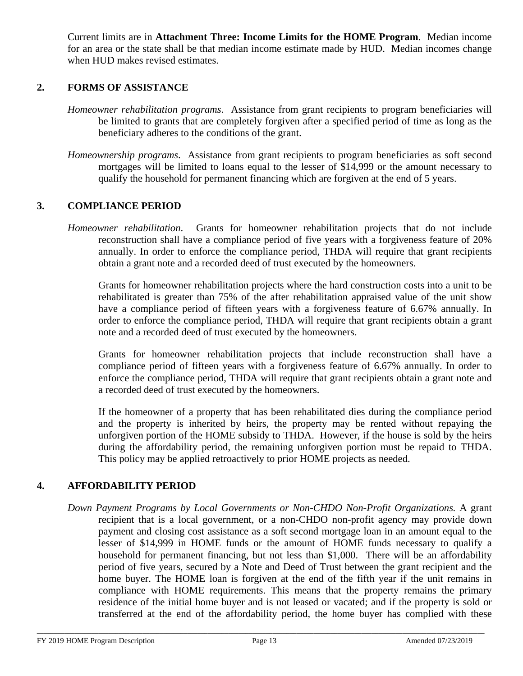Current limits are in **Attachment Three: Income Limits for the HOME Program**. Median income for an area or the state shall be that median income estimate made by HUD. Median incomes change when HUD makes revised estimates.

### **2. FORMS OF ASSISTANCE**

- *Homeowner rehabilitation programs*. Assistance from grant recipients to program beneficiaries will be limited to grants that are completely forgiven after a specified period of time as long as the beneficiary adheres to the conditions of the grant.
- *Homeownership programs*. Assistance from grant recipients to program beneficiaries as soft second mortgages will be limited to loans equal to the lesser of \$14,999 or the amount necessary to qualify the household for permanent financing which are forgiven at the end of 5 years.

#### **3. COMPLIANCE PERIOD**

*Homeowner rehabilitation*.Grants for homeowner rehabilitation projects that do not include reconstruction shall have a compliance period of five years with a forgiveness feature of 20% annually. In order to enforce the compliance period, THDA will require that grant recipients obtain a grant note and a recorded deed of trust executed by the homeowners.

 Grants for homeowner rehabilitation projects where the hard construction costs into a unit to be rehabilitated is greater than 75% of the after rehabilitation appraised value of the unit show have a compliance period of fifteen years with a forgiveness feature of 6.67% annually. In order to enforce the compliance period, THDA will require that grant recipients obtain a grant note and a recorded deed of trust executed by the homeowners.

Grants for homeowner rehabilitation projects that include reconstruction shall have a compliance period of fifteen years with a forgiveness feature of 6.67% annually. In order to enforce the compliance period, THDA will require that grant recipients obtain a grant note and a recorded deed of trust executed by the homeowners.

If the homeowner of a property that has been rehabilitated dies during the compliance period and the property is inherited by heirs, the property may be rented without repaying the unforgiven portion of the HOME subsidy to THDA. However, if the house is sold by the heirs during the affordability period, the remaining unforgiven portion must be repaid to THDA. This policy may be applied retroactively to prior HOME projects as needed.

### **4. AFFORDABILITY PERIOD**

*Down Payment Programs by Local Governments or Non-CHDO Non-Profit Organizations.* A grant recipient that is a local government, or a non-CHDO non-profit agency may provide down payment and closing cost assistance as a soft second mortgage loan in an amount equal to the lesser of \$14,999 in HOME funds or the amount of HOME funds necessary to qualify a household for permanent financing, but not less than \$1,000. There will be an affordability period of five years, secured by a Note and Deed of Trust between the grant recipient and the home buyer. The HOME loan is forgiven at the end of the fifth year if the unit remains in compliance with HOME requirements. This means that the property remains the primary residence of the initial home buyer and is not leased or vacated; and if the property is sold or transferred at the end of the affordability period, the home buyer has complied with these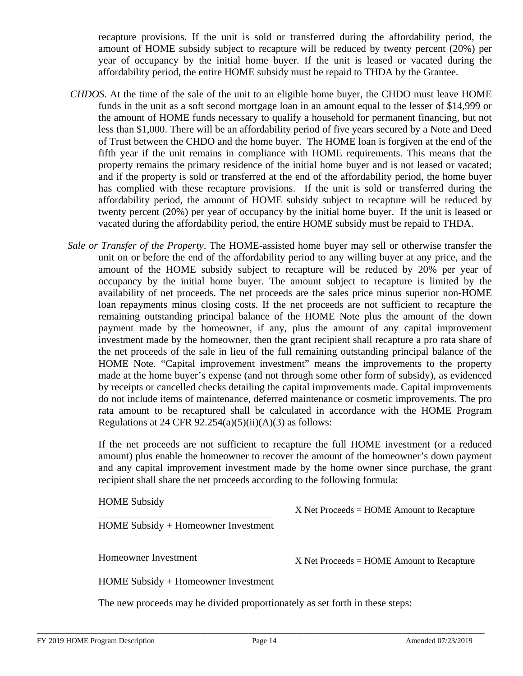recapture provisions. If the unit is sold or transferred during the affordability period, the amount of HOME subsidy subject to recapture will be reduced by twenty percent (20%) per year of occupancy by the initial home buyer. If the unit is leased or vacated during the affordability period, the entire HOME subsidy must be repaid to THDA by the Grantee.

- *CHDOS*. At the time of the sale of the unit to an eligible home buyer, the CHDO must leave HOME funds in the unit as a soft second mortgage loan in an amount equal to the lesser of \$14,999 or the amount of HOME funds necessary to qualify a household for permanent financing, but not less than \$1,000. There will be an affordability period of five years secured by a Note and Deed of Trust between the CHDO and the home buyer. The HOME loan is forgiven at the end of the fifth year if the unit remains in compliance with HOME requirements. This means that the property remains the primary residence of the initial home buyer and is not leased or vacated; and if the property is sold or transferred at the end of the affordability period, the home buyer has complied with these recapture provisions. If the unit is sold or transferred during the affordability period, the amount of HOME subsidy subject to recapture will be reduced by twenty percent (20%) per year of occupancy by the initial home buyer. If the unit is leased or vacated during the affordability period, the entire HOME subsidy must be repaid to THDA.
- *Sale or Transfer of the Property*. The HOME-assisted home buyer may sell or otherwise transfer the unit on or before the end of the affordability period to any willing buyer at any price, and the amount of the HOME subsidy subject to recapture will be reduced by 20% per year of occupancy by the initial home buyer. The amount subject to recapture is limited by the availability of net proceeds. The net proceeds are the sales price minus superior non-HOME loan repayments minus closing costs. If the net proceeds are not sufficient to recapture the remaining outstanding principal balance of the HOME Note plus the amount of the down payment made by the homeowner, if any, plus the amount of any capital improvement investment made by the homeowner, then the grant recipient shall recapture a pro rata share of the net proceeds of the sale in lieu of the full remaining outstanding principal balance of the HOME Note. "Capital improvement investment" means the improvements to the property made at the home buyer's expense (and not through some other form of subsidy), as evidenced by receipts or cancelled checks detailing the capital improvements made. Capital improvements do not include items of maintenance, deferred maintenance or cosmetic improvements. The pro rata amount to be recaptured shall be calculated in accordance with the HOME Program Regulations at 24 CFR  $92.254(a)(5)(ii)(A)(3)$  as follows:

If the net proceeds are not sufficient to recapture the full HOME investment (or a reduced amount) plus enable the homeowner to recover the amount of the homeowner's down payment and any capital improvement investment made by the home owner since purchase, the grant recipient shall share the net proceeds according to the following formula:

HOME Subsidy

HOME Subsidy + Homeowner Investment

Homeowner Investment

X Net Proceeds = HOME Amount to Recapture

X Net Proceeds = HOME Amount to Recapture

HOME Subsidy + Homeowner Investment

The new proceeds may be divided proportionately as set forth in these steps: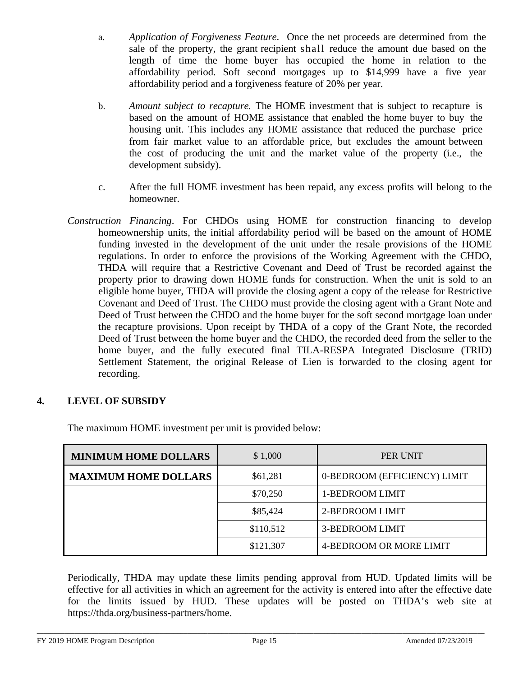- a. *Application of Forgiveness Feature*. Once the net proceeds are determined from the sale of the property, the grant recipient shall reduce the amount due based on the length of time the home buyer has occupied the home in relation to the affordability period. Soft second mortgages up to \$14,999 have a five year affordability period and a forgiveness feature of 20% per year.
- b. *Amount subject to recapture.* The HOME investment that is subject to recapture is based on the amount of HOME assistance that enabled the home buyer to buy the housing unit. This includes any HOME assistance that reduced the purchase price from fair market value to an affordable price, but excludes the amount between the cost of producing the unit and the market value of the property (i.e., the development subsidy).
- c. After the full HOME investment has been repaid, any excess profits will belong to the homeowner.
- *Construction Financing*. For CHDOs using HOME for construction financing to develop homeownership units, the initial affordability period will be based on the amount of HOME funding invested in the development of the unit under the resale provisions of the HOME regulations. In order to enforce the provisions of the Working Agreement with the CHDO, THDA will require that a Restrictive Covenant and Deed of Trust be recorded against the property prior to drawing down HOME funds for construction. When the unit is sold to an eligible home buyer, THDA will provide the closing agent a copy of the release for Restrictive Covenant and Deed of Trust. The CHDO must provide the closing agent with a Grant Note and Deed of Trust between the CHDO and the home buyer for the soft second mortgage loan under the recapture provisions. Upon receipt by THDA of a copy of the Grant Note, the recorded Deed of Trust between the home buyer and the CHDO, the recorded deed from the seller to the home buyer, and the fully executed final TILA-RESPA Integrated Disclosure (TRID) Settlement Statement, the original Release of Lien is forwarded to the closing agent for recording.

# **4. LEVEL OF SUBSIDY**

| <b>MINIMUM HOME DOLLARS</b> | \$1,000   | PER UNIT                     |
|-----------------------------|-----------|------------------------------|
| <b>MAXIMUM HOME DOLLARS</b> | \$61,281  | 0-BEDROOM (EFFICIENCY) LIMIT |
|                             | \$70,250  | 1-BEDROOM LIMIT              |
|                             | \$85,424  | 2-BEDROOM LIMIT              |
|                             | \$110,512 | <b>3-BEDROOM LIMIT</b>       |
|                             | \$121,307 | 4-BEDROOM OR MORE LIMIT      |

The maximum HOME investment per unit is provided below:

Periodically, THDA may update these limits pending approval from HUD. Updated limits will be effective for all activities in which an agreement for the activity is entered into after the effective date for the limits issued by HUD. These updates will be posted on THDA's web site [at](http://www.thda.org/) https://thda.org/business-partners/home.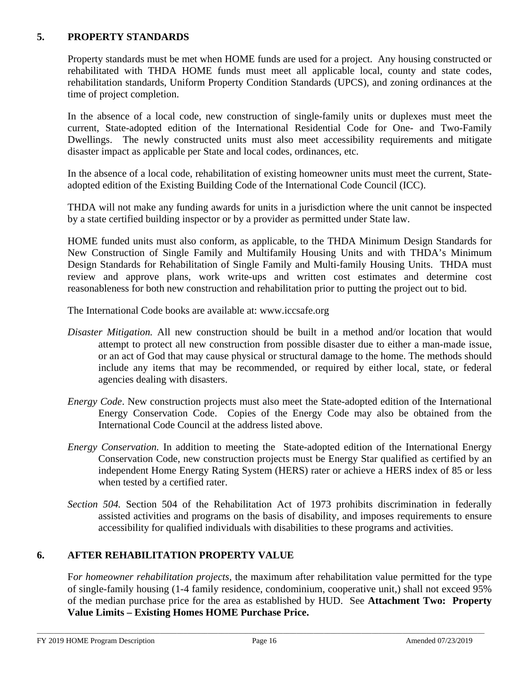## **5. PROPERTY STANDARDS**

Property standards must be met when HOME funds are used for a project. Any housing constructed or rehabilitated with THDA HOME funds must meet all applicable local, county and state codes, rehabilitation standards, Uniform Property Condition Standards (UPCS), and zoning ordinances at the time of project completion.

In the absence of a local code, new construction of single-family units or duplexes must meet the current, State-adopted edition of the International Residential Code for One- and Two-Family Dwellings. The newly constructed units must also meet accessibility requirements and mitigate disaster impact as applicable per State and local codes, ordinances, etc.

In the absence of a local code, rehabilitation of existing homeowner units must meet the current, Stateadopted edition of the Existing Building Code of the International Code Council (ICC).

THDA will not make any funding awards for units in a jurisdiction where the unit cannot be inspected by a state certified building inspector or by a provider as permitted under State law.

HOME funded units must also conform, as applicable, to the THDA Minimum Design Standards for New Construction of Single Family and Multifamily Housing Units and with THDA's Minimum Design Standards for Rehabilitation of Single Family and Multi-family Housing Units. THDA must review and approve plans, work write-ups and written cost estimates and determine cost reasonableness for both new construction and rehabilitation prior to putting the project out to bid.

The International Code books are available at: www.iccsafe.org

- *Disaster Mitigation.* All new construction should be built in a method and/or location that would attempt to protect all new construction from possible disaster due to either a man-made issue, or an act of God that may cause physical or structural damage to the home. The methods should include any items that may be recommended, or required by either local, state, or federal agencies dealing with disasters.
- *Energy Code*. New construction projects must also meet the State-adopted edition of the International Energy Conservation Code. Copies of the Energy Code may also be obtained from the International Code Council at the address listed above.
- *Energy Conservation.* In addition to meeting the State-adopted edition of the International Energy Conservation Code, new construction projects must be Energy Star qualified as certified by an independent Home Energy Rating System (HERS) rater or achieve a HERS index of 85 or less when tested by a certified rater.
- *Section 504.* Section 504 of the Rehabilitation Act of 1973 prohibits discrimination in federally assisted activities and programs on the basis of disability, and imposes requirements to ensure accessibility for qualified individuals with disabilities to these programs and activities.

# **6. AFTER REHABILITATION PROPERTY VALUE**

F*or homeowner rehabilitation projects*, the maximum after rehabilitation value permitted for the type of single-family housing (1-4 family residence, condominium, cooperative unit,) shall not exceed 95% of the median purchase price for the area as established by HUD. See **Attachment Two: Property Value Limits – Existing Homes HOME Purchase Price.**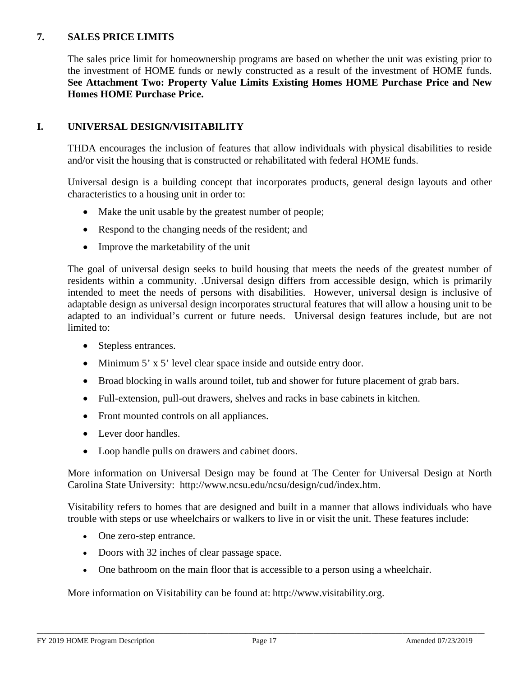## **7. SALES PRICE LIMITS**

The sales price limit for homeownership programs are based on whether the unit was existing prior to the investment of HOME funds or newly constructed as a result of the investment of HOME funds. **See Attachment Two: Property Value Limits Existing Homes HOME Purchase Price and New Homes HOME Purchase Price.** 

## **I. UNIVERSAL DESIGN/VISITABILITY**

THDA encourages the inclusion of features that allow individuals with physical disabilities to reside and/or visit the housing that is constructed or rehabilitated with federal HOME funds.

Universal design is a building concept that incorporates products, general design layouts and other characteristics to a housing unit in order to:

- Make the unit usable by the greatest number of people;
- Respond to the changing needs of the resident; and
- Improve the marketability of the unit

The goal of universal design seeks to build housing that meets the needs of the greatest number of residents within a community. .Universal design differs from accessible design, which is primarily intended to meet the needs of persons with disabilities. However, universal design is inclusive of adaptable design as universal design incorporates structural features that will allow a housing unit to be adapted to an individual's current or future needs. Universal design features include, but are not limited to:

- Stepless entrances.
- Minimum 5' x 5' level clear space inside and outside entry door.
- Broad blocking in walls around toilet, tub and shower for future placement of grab bars.
- Full-extension, pull-out drawers, shelves and racks in base cabinets in kitchen.
- Front mounted controls on all appliances.
- Lever door handles.
- Loop handle pulls on drawers and cabinet doors.

More information on Universal Design may be found at The Center for Universal Design at North Carolina State University: [http://www.ncsu.edu/ncsu/design/cud/index.htm.](http://www.ncsu.edu/ncsu/design/cud/index.htm)

Visitability refers to homes that are designed and built in a manner that allows individuals who have trouble with steps or use wheelchairs or walkers to live in or visit the unit. These features include:

- One zero-step entrance.
- Doors with 32 inches of clear passage space.
- One bathroom on the main floor that is accessible to a person using a wheelchair.

More information on Visitability can be found at: [http://www.visitability.org.](http://www.visitability.org/)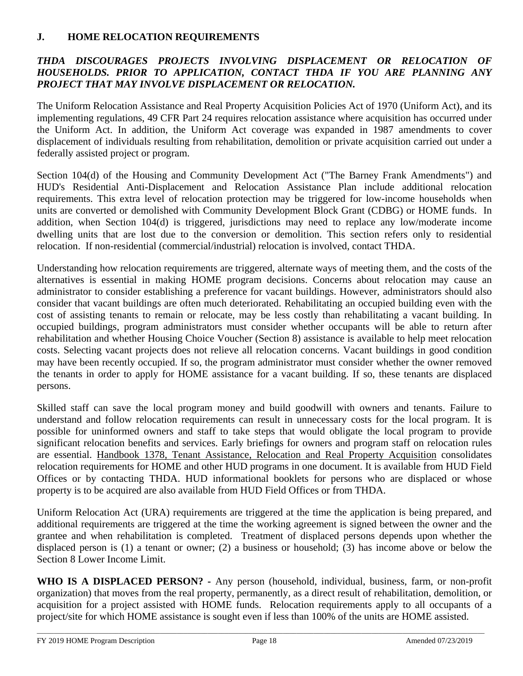# **J. HOME RELOCATION REQUIREMENTS**

# *THDA DISCOURAGES PROJECTS INVOLVING DISPLACEMENT OR RELOCATION OF HOUSEHOLDS. PRIOR TO APPLICATION, CONTACT THDA IF YOU ARE PLANNING ANY PROJECT THAT MAY INVOLVE DISPLACEMENT OR RELOCATION.*

The Uniform Relocation Assistance and Real Property Acquisition Policies Act of 1970 (Uniform Act), and its implementing regulations, 49 CFR Part 24 requires relocation assistance where acquisition has occurred under the Uniform Act. In addition, the Uniform Act coverage was expanded in 1987 amendments to cover displacement of individuals resulting from rehabilitation, demolition or private acquisition carried out under a federally assisted project or program.

Section 104(d) of the Housing and Community Development Act ("The Barney Frank Amendments") and HUD's Residential Anti-Displacement and Relocation Assistance Plan include additional relocation requirements. This extra level of relocation protection may be triggered for low-income households when units are converted or demolished with Community Development Block Grant (CDBG) or HOME funds. In addition, when Section 104(d) is triggered, jurisdictions may need to replace any low/moderate income dwelling units that are lost due to the conversion or demolition. This section refers only to residential relocation. If non-residential (commercial/industrial) relocation is involved, contact THDA.

Understanding how relocation requirements are triggered, alternate ways of meeting them, and the costs of the alternatives is essential in making HOME program decisions. Concerns about relocation may cause an administrator to consider establishing a preference for vacant buildings. However, administrators should also consider that vacant buildings are often much deteriorated. Rehabilitating an occupied building even with the cost of assisting tenants to remain or relocate, may be less costly than rehabilitating a vacant building. In occupied buildings, program administrators must consider whether occupants will be able to return after rehabilitation and whether Housing Choice Voucher (Section 8) assistance is available to help meet relocation costs. Selecting vacant projects does not relieve all relocation concerns. Vacant buildings in good condition may have been recently occupied. If so, the program administrator must consider whether the owner removed the tenants in order to apply for HOME assistance for a vacant building. If so, these tenants are displaced persons.

Skilled staff can save the local program money and build goodwill with owners and tenants. Failure to understand and follow relocation requirements can result in unnecessary costs for the local program. It is possible for uninformed owners and staff to take steps that would obligate the local program to provide significant relocation benefits and services. Early briefings for owners and program staff on relocation rules are essential. Handbook 1378, Tenant Assistance, Relocation and Real Property Acquisition consolidates relocation requirements for HOME and other HUD programs in one document. It is available from HUD Field Offices or by contacting THDA. HUD informational booklets for persons who are displaced or whose property is to be acquired are also available from HUD Field Offices or from THDA.

Uniform Relocation Act (URA) requirements are triggered at the time the application is being prepared, and additional requirements are triggered at the time the working agreement is signed between the owner and the grantee and when rehabilitation is completed. Treatment of displaced persons depends upon whether the displaced person is (1) a tenant or owner; (2) a business or household; (3) has income above or below the Section 8 Lower Income Limit.

**WHO IS A DISPLACED PERSON? -** Any person (household, individual, business, farm, or non-profit organization) that moves from the real property, permanently, as a direct result of rehabilitation, demolition, or acquisition for a project assisted with HOME funds. Relocation requirements apply to all occupants of a project/site for which HOME assistance is sought even if less than 100% of the units are HOME assisted.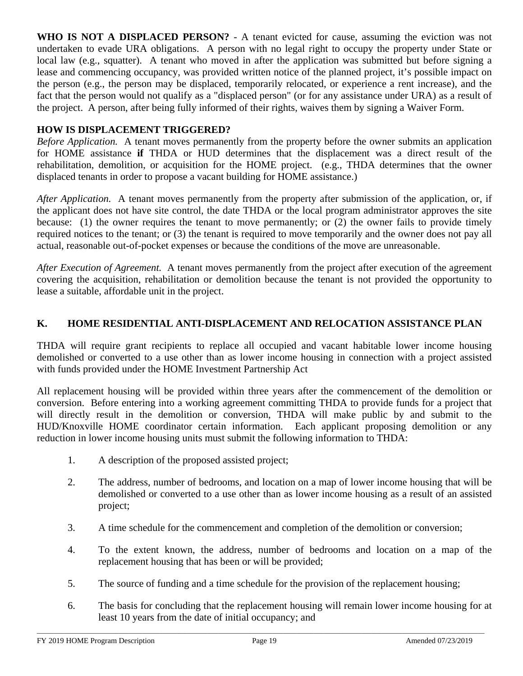**WHO IS NOT A DISPLACED PERSON?** - A tenant evicted for cause, assuming the eviction was not undertaken to evade URA obligations. A person with no legal right to occupy the property under State or local law (e.g., squatter). A tenant who moved in after the application was submitted but before signing a lease and commencing occupancy, was provided written notice of the planned project, it's possible impact on the person (e.g., the person may be displaced, temporarily relocated, or experience a rent increase), and the fact that the person would not qualify as a "displaced person" (or for any assistance under URA) as a result of the project. A person, after being fully informed of their rights, waives them by signing a Waiver Form.

## **HOW IS DISPLACEMENT TRIGGERED?**

*Before Application.* A tenant moves permanently from the property before the owner submits an application for HOME assistance **if** THDA or HUD determines that the displacement was a direct result of the rehabilitation, demolition, or acquisition for the HOME project. (e.g., THDA determines that the owner displaced tenants in order to propose a vacant building for HOME assistance.)

*After Application.* A tenant moves permanently from the property after submission of the application, or, if the applicant does not have site control, the date THDA or the local program administrator approves the site because: (1) the owner requires the tenant to move permanently; or (2) the owner fails to provide timely required notices to the tenant; or (3) the tenant is required to move temporarily and the owner does not pay all actual, reasonable out-of-pocket expenses or because the conditions of the move are unreasonable.

*After Execution of Agreement.* A tenant moves permanently from the project after execution of the agreement covering the acquisition, rehabilitation or demolition because the tenant is not provided the opportunity to lease a suitable, affordable unit in the project.

# **K. HOME RESIDENTIAL ANTI-DISPLACEMENT AND RELOCATION ASSISTANCE PLAN**

THDA will require grant recipients to replace all occupied and vacant habitable lower income housing demolished or converted to a use other than as lower income housing in connection with a project assisted with funds provided under the HOME Investment Partnership Act

All replacement housing will be provided within three years after the commencement of the demolition or conversion. Before entering into a working agreement committing THDA to provide funds for a project that will directly result in the demolition or conversion, THDA will make public by and submit to the HUD/Knoxville HOME coordinator certain information. Each applicant proposing demolition or any reduction in lower income housing units must submit the following information to THDA:

- 1. A description of the proposed assisted project;
- 2. The address, number of bedrooms, and location on a map of lower income housing that will be demolished or converted to a use other than as lower income housing as a result of an assisted project;
- 3. A time schedule for the commencement and completion of the demolition or conversion;
- 4. To the extent known, the address, number of bedrooms and location on a map of the replacement housing that has been or will be provided;
- 5. The source of funding and a time schedule for the provision of the replacement housing;
- 6. The basis for concluding that the replacement housing will remain lower income housing for at least 10 years from the date of initial occupancy; and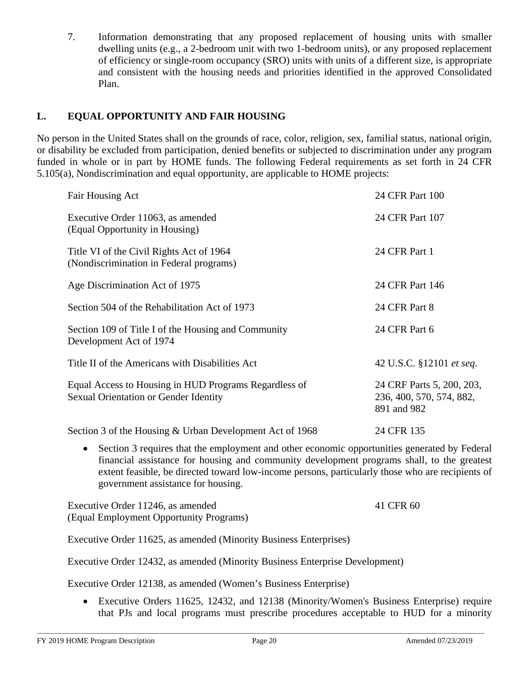7. Information demonstrating that any proposed replacement of housing units with smaller dwelling units (e.g., a 2-bedroom unit with two 1-bedroom units), or any proposed replacement of efficiency or single-room occupancy (SRO) units with units of a different size, is appropriate and consistent with the housing needs and priorities identified in the approved Consolidated Plan.

# **L. EQUAL OPPORTUNITY AND FAIR HOUSING**

No person in the United States shall on the grounds of race, color, religion, sex, familial status, national origin, or disability be excluded from participation, denied benefits or subjected to discrimination under any program funded in whole or in part by HOME funds. The following Federal requirements as set forth in 24 CFR 5.105(a), Nondiscrimination and equal opportunity, are applicable to HOME projects:

| Fair Housing Act                                                                                                                             | 24 CFR Part 100                                                      |
|----------------------------------------------------------------------------------------------------------------------------------------------|----------------------------------------------------------------------|
| Executive Order 11063, as amended<br>(Equal Opportunity in Housing)                                                                          | 24 CFR Part 107                                                      |
| Title VI of the Civil Rights Act of 1964<br>(Nondiscrimination in Federal programs)                                                          | 24 CFR Part 1                                                        |
| Age Discrimination Act of 1975                                                                                                               | 24 CFR Part 146                                                      |
| Section 504 of the Rehabilitation Act of 1973                                                                                                | 24 CFR Part 8                                                        |
| Section 109 of Title I of the Housing and Community<br>Development Act of 1974                                                               | 24 CFR Part 6                                                        |
| Title II of the Americans with Disabilities Act                                                                                              | 42 U.S.C. §12101 et seq.                                             |
| Equal Access to Housing in HUD Programs Regardless of<br>Sexual Orientation or Gender Identity                                               | 24 CRF Parts 5, 200, 203,<br>236, 400, 570, 574, 882,<br>891 and 982 |
| Section 3 of the Housing & Urban Development Act of 1968                                                                                     | 24 CFR 135                                                           |
| $\alpha$ , $\alpha$ , $\alpha$ , $\alpha$ , $\alpha$ , $\alpha$ , $\alpha$ , $\alpha$ , $\alpha$ , $\alpha$ , $\alpha$ , $\alpha$ , $\alpha$ |                                                                      |

• Section 3 requires that the employment and other economic opportunities generated by Federal financial assistance for housing and community development programs shall, to the greatest extent feasible, be directed toward low-income persons, particularly those who are recipients of government assistance for housing.

Executive Order 11246, as amended 41 CFR 60 (Equal Employment Opportunity Programs)

Executive Order 11625, as amended (Minority Business Enterprises)

Executive Order 12432, as amended (Minority Business Enterprise Development)

Executive Order 12138, as amended (Women's Business Enterprise)

• Executive Orders 11625, 12432, and 12138 (Minority/Women's Business Enterprise) require that PJs and local programs must prescribe procedures acceptable to HUD for a minority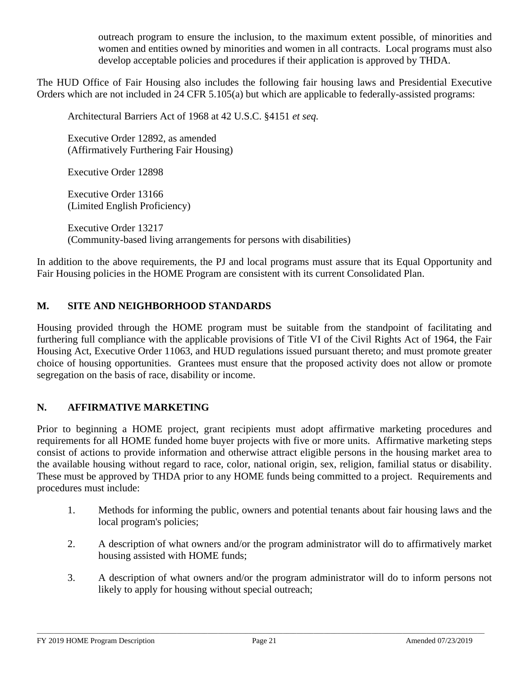outreach program to ensure the inclusion, to the maximum extent possible, of minorities and women and entities owned by minorities and women in all contracts. Local programs must also develop acceptable policies and procedures if their application is approved by THDA.

The HUD Office of Fair Housing also includes the following fair housing laws and Presidential Executive Orders which are not included in 24 CFR 5.105(a) but which are applicable to federally-assisted programs:

Architectural Barriers Act of 1968 at 42 U.S.C. §4151 *et seq.*

Executive Order 12892, as amended (Affirmatively Furthering Fair Housing)

Executive Order 12898

Executive Order 13166 (Limited English Proficiency)

Executive Order 13217 (Community-based living arrangements for persons with disabilities)

In addition to the above requirements, the PJ and local programs must assure that its Equal Opportunity and Fair Housing policies in the HOME Program are consistent with its current Consolidated Plan.

# **M. SITE AND NEIGHBORHOOD STANDARDS**

Housing provided through the HOME program must be suitable from the standpoint of facilitating and furthering full compliance with the applicable provisions of Title VI of the Civil Rights Act of 1964, the Fair Housing Act, Executive Order 11063, and HUD regulations issued pursuant thereto; and must promote greater choice of housing opportunities. Grantees must ensure that the proposed activity does not allow or promote segregation on the basis of race, disability or income.

### **N. AFFIRMATIVE MARKETING**

Prior to beginning a HOME project, grant recipients must adopt affirmative marketing procedures and requirements for all HOME funded home buyer projects with five or more units. Affirmative marketing steps consist of actions to provide information and otherwise attract eligible persons in the housing market area to the available housing without regard to race, color, national origin, sex, religion, familial status or disability. These must be approved by THDA prior to any HOME funds being committed to a project. Requirements and procedures must include:

- 1. Methods for informing the public, owners and potential tenants about fair housing laws and the local program's policies;
- 2. A description of what owners and/or the program administrator will do to affirmatively market housing assisted with HOME funds;
- 3. A description of what owners and/or the program administrator will do to inform persons not likely to apply for housing without special outreach;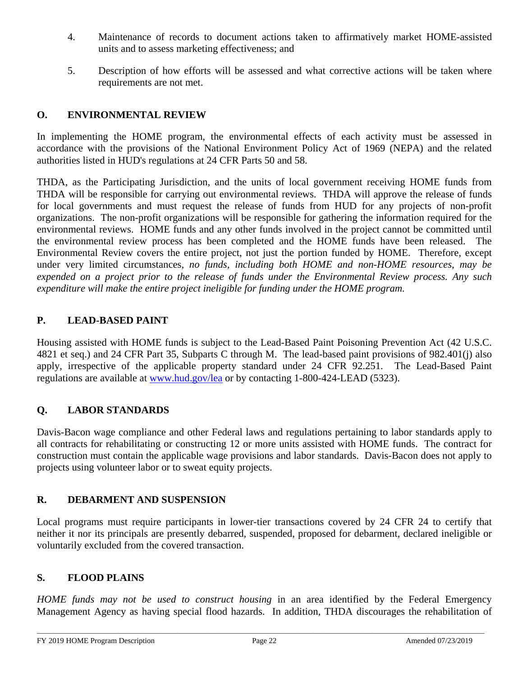- 4. Maintenance of records to document actions taken to affirmatively market HOME-assisted units and to assess marketing effectiveness; and
- 5. Description of how efforts will be assessed and what corrective actions will be taken where requirements are not met.

# **O. ENVIRONMENTAL REVIEW**

In implementing the HOME program, the environmental effects of each activity must be assessed in accordance with the provisions of the National Environment Policy Act of 1969 (NEPA) and the related authorities listed in HUD's regulations at 24 CFR Parts 50 and 58.

THDA, as the Participating Jurisdiction, and the units of local government receiving HOME funds from THDA will be responsible for carrying out environmental reviews. THDA will approve the release of funds for local governments and must request the release of funds from HUD for any projects of non-profit organizations. The non-profit organizations will be responsible for gathering the information required for the environmental reviews. HOME funds and any other funds involved in the project cannot be committed until the environmental review process has been completed and the HOME funds have been released. Environmental Review covers the entire project, not just the portion funded by HOME. Therefore, except under very limited circumstances, *no funds, including both HOME and non-HOME resources, may be expended on a project prior to the release of funds under the Environmental Review process. Any such expenditure will make the entire project ineligible for funding under the HOME program.*

# **P. LEAD-BASED PAINT**

Housing assisted with HOME funds is subject to the Lead-Based Paint Poisoning Prevention Act (42 U.S.C. 4821 et seq.) and 24 CFR Part 35, Subparts C through M. The lead-based paint provisions of 982.401(j) also apply, irrespective of the applicable property standard under 24 CFR 92.251. The Lead-Based Paint regulations are available at [www.hud.gov/lea](http://www.hud.gov/lea) or by contacting 1-800-424-LEAD (5323).

# **Q. LABOR STANDARDS**

Davis-Bacon wage compliance and other Federal laws and regulations pertaining to labor standards apply to all contracts for rehabilitating or constructing 12 or more units assisted with HOME funds. The contract for construction must contain the applicable wage provisions and labor standards. Davis-Bacon does not apply to projects using volunteer labor or to sweat equity projects.

# **R. DEBARMENT AND SUSPENSION**

Local programs must require participants in lower-tier transactions covered by 24 CFR 24 to certify that neither it nor its principals are presently debarred, suspended, proposed for debarment, declared ineligible or voluntarily excluded from the covered transaction.

## **S. FLOOD PLAINS**

*HOME funds may not be used to construct housing* in an area identified by the Federal Emergency Management Agency as having special flood hazards. In addition, THDA discourages the rehabilitation of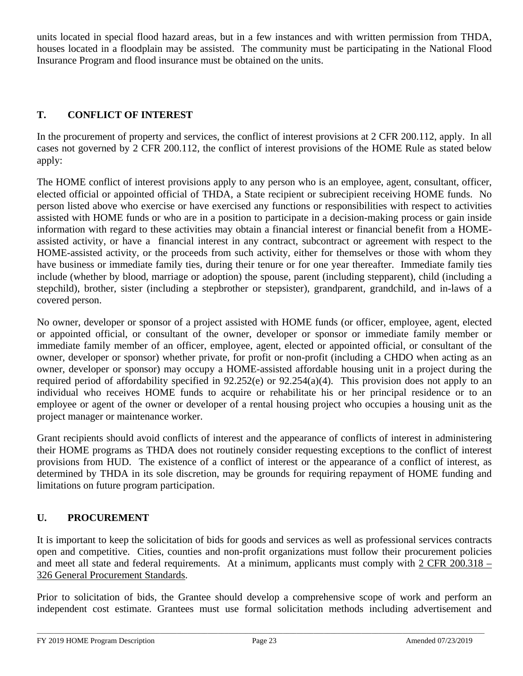units located in special flood hazard areas, but in a few instances and with written permission from THDA, houses located in a floodplain may be assisted. The community must be participating in the National Flood Insurance Program and flood insurance must be obtained on the units.

# **T. CONFLICT OF INTEREST**

In the procurement of property and services, the conflict of interest provisions at 2 CFR 200.112, apply. In all cases not governed by 2 CFR 200.112, the conflict of interest provisions of the HOME Rule as stated below apply:

The HOME conflict of interest provisions apply to any person who is an employee, agent, consultant, officer, elected official or appointed official of THDA, a State recipient or subrecipient receiving HOME funds. No person listed above who exercise or have exercised any functions or responsibilities with respect to activities assisted with HOME funds or who are in a position to participate in a decision-making process or gain inside information with regard to these activities may obtain a financial interest or financial benefit from a HOMEassisted activity, or have a financial interest in any contract, subcontract or agreement with respect to the HOME-assisted activity, or the proceeds from such activity, either for themselves or those with whom they have business or immediate family ties, during their tenure or for one year thereafter. Immediate family ties include (whether by blood, marriage or adoption) the spouse, parent (including stepparent), child (including a stepchild), brother, sister (including a stepbrother or stepsister), grandparent, grandchild, and in-laws of a covered person.

No owner, developer or sponsor of a project assisted with HOME funds (or officer, employee, agent, elected or appointed official, or consultant of the owner, developer or sponsor or immediate family member or immediate family member of an officer, employee, agent, elected or appointed official, or consultant of the owner, developer or sponsor) whether private, for profit or non-profit (including a CHDO when acting as an owner, developer or sponsor) may occupy a HOME-assisted affordable housing unit in a project during the required period of affordability specified in 92.252(e) or 92.254(a)(4). This provision does not apply to an individual who receives HOME funds to acquire or rehabilitate his or her principal residence or to an employee or agent of the owner or developer of a rental housing project who occupies a housing unit as the project manager or maintenance worker.

Grant recipients should avoid conflicts of interest and the appearance of conflicts of interest in administering their HOME programs as THDA does not routinely consider requesting exceptions to the conflict of interest provisions from HUD. The existence of a conflict of interest or the appearance of a conflict of interest, as determined by THDA in its sole discretion, may be grounds for requiring repayment of HOME funding and limitations on future program participation.

### **U. PROCUREMENT**

It is important to keep the solicitation of bids for goods and services as well as professional services contracts open and competitive. Cities, counties and non-profit organizations must follow their procurement policies and meet all state and federal requirements. At a minimum, applicants must comply with 2 CFR 200.318 – 326 General Procurement Standards.

Prior to solicitation of bids, the Grantee should develop a comprehensive scope of work and perform an independent cost estimate. Grantees must use formal solicitation methods including advertisement and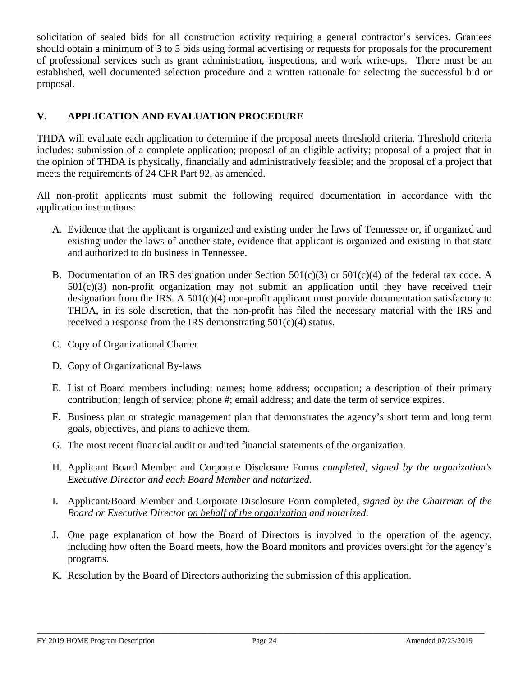solicitation of sealed bids for all construction activity requiring a general contractor's services. Grantees should obtain a minimum of 3 to 5 bids using formal advertising or requests for proposals for the procurement of professional services such as grant administration, inspections, and work write-ups. There must be an established, well documented selection procedure and a written rationale for selecting the successful bid or proposal.

# **V. APPLICATION AND EVALUATION PROCEDURE**

THDA will evaluate each application to determine if the proposal meets threshold criteria. Threshold criteria includes: submission of a complete application; proposal of an eligible activity; proposal of a project that in the opinion of THDA is physically, financially and administratively feasible; and the proposal of a project that meets the requirements of 24 CFR Part 92, as amended.

All non-profit applicants must submit the following required documentation in accordance with the application instructions:

- A. Evidence that the applicant is organized and existing under the laws of Tennessee or, if organized and existing under the laws of another state, evidence that applicant is organized and existing in that state and authorized to do business in Tennessee.
- B. Documentation of an IRS designation under Section  $501(c)(3)$  or  $501(c)(4)$  of the federal tax code. A  $501(c)(3)$  non-profit organization may not submit an application until they have received their designation from the IRS. A  $501(c)(4)$  non-profit applicant must provide documentation satisfactory to THDA, in its sole discretion, that the non-profit has filed the necessary material with the IRS and received a response from the IRS demonstrating 501(c)(4) status.
- C. Copy of Organizational Charter
- D. Copy of Organizational By-laws
- E. List of Board members including: names; home address; occupation; a description of their primary contribution; length of service; phone #; email address; and date the term of service expires.
- F. Business plan or strategic management plan that demonstrates the agency's short term and long term goals, objectives, and plans to achieve them.
- G. The most recent financial audit or audited financial statements of the organization.
- H. Applicant Board Member and Corporate Disclosure Forms *completed, signed by the organization's Executive Director and each Board Member and notarized.*
- I. Applicant/Board Member and Corporate Disclosure Form completed, *signed by the Chairman of the Board or Executive Director on behalf of the organization and notarized*.
- J. One page explanation of how the Board of Directors is involved in the operation of the agency, including how often the Board meets, how the Board monitors and provides oversight for the agency's programs.
- K. Resolution by the Board of Directors authorizing the submission of this application.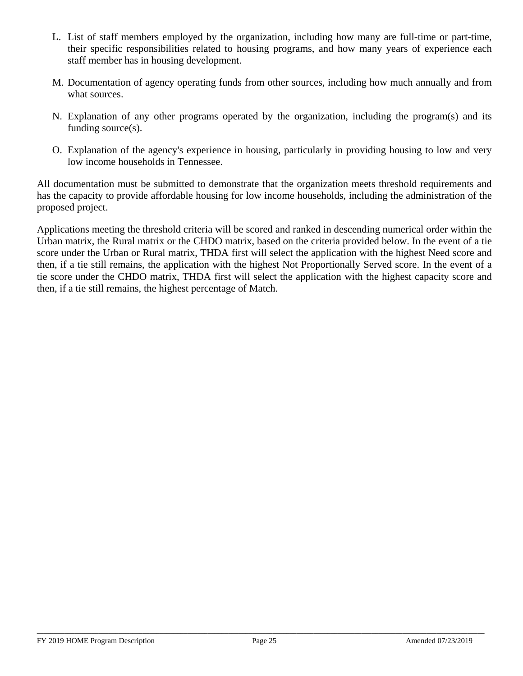- L. List of staff members employed by the organization, including how many are full-time or part-time, their specific responsibilities related to housing programs, and how many years of experience each staff member has in housing development.
- M. Documentation of agency operating funds from other sources, including how much annually and from what sources.
- N. Explanation of any other programs operated by the organization, including the program(s) and its funding source(s).
- O. Explanation of the agency's experience in housing, particularly in providing housing to low and very low income households in Tennessee.

All documentation must be submitted to demonstrate that the organization meets threshold requirements and has the capacity to provide affordable housing for low income households, including the administration of the proposed project.

Applications meeting the threshold criteria will be scored and ranked in descending numerical order within the Urban matrix, the Rural matrix or the CHDO matrix, based on the criteria provided below. In the event of a tie score under the Urban or Rural matrix, THDA first will select the application with the highest Need score and then, if a tie still remains, the application with the highest Not Proportionally Served score. In the event of a tie score under the CHDO matrix, THDA first will select the application with the highest capacity score and then, if a tie still remains, the highest percentage of Match.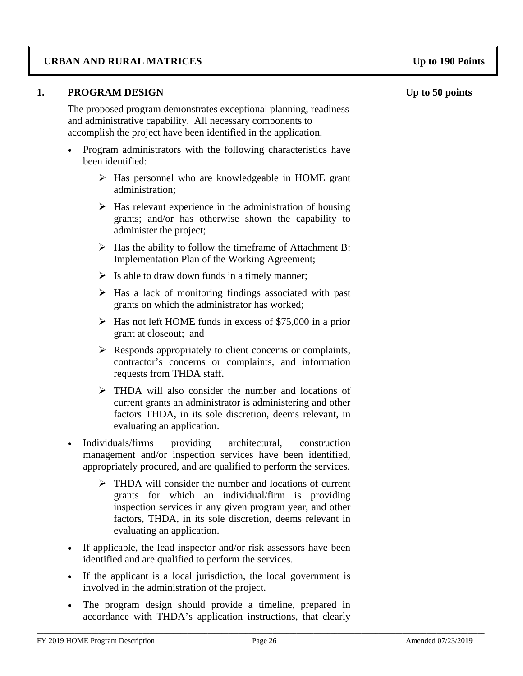## **URBAN AND RURAL MATRICES Up to 190 Points**

#### **1. PROGRAM DESIGN Up to 50 points**

The proposed program demonstrates exceptional planning, readiness and administrative capability. All necessary components to accomplish the project have been identified in the application.

- Program administrators with the following characteristics have been identified:
	- $\triangleright$  Has personnel who are knowledgeable in HOME grant administration;
	- $\triangleright$  Has relevant experience in the administration of housing grants; and/or has otherwise shown the capability to administer the project;
	- $\triangleright$  Has the ability to follow the timeframe of Attachment B: Implementation Plan of the Working Agreement;
	- $\triangleright$  Is able to draw down funds in a timely manner;
	- $\triangleright$  Has a lack of monitoring findings associated with past grants on which the administrator has worked;
	- $\triangleright$  Has not left HOME funds in excess of \$75,000 in a prior grant at closeout; and
	- $\triangleright$  Responds appropriately to client concerns or complaints, contractor's concerns or complaints, and information requests from THDA staff.
	- THDA will also consider the number and locations of current grants an administrator is administering and other factors THDA, in its sole discretion, deems relevant, in evaluating an application.
- Individuals/firms providing architectural, construction management and/or inspection services have been identified, appropriately procured, and are qualified to perform the services.
	- > THDA will consider the number and locations of current grants for which an individual/firm is providing inspection services in any given program year, and other factors, THDA, in its sole discretion, deems relevant in evaluating an application.
- If applicable, the lead inspector and/or risk assessors have been identified and are qualified to perform the services.
- If the applicant is a local jurisdiction, the local government is involved in the administration of the project.
- The program design should provide a timeline, prepared in accordance with THDA's application instructions, that clearly

\_\_\_\_\_\_\_\_\_\_\_\_\_\_\_\_\_\_\_\_\_\_\_\_\_\_\_\_\_\_\_\_\_\_\_\_\_\_\_\_\_\_\_\_\_\_\_\_\_\_\_\_\_\_\_\_\_\_\_\_\_\_\_\_\_\_\_\_\_\_\_\_\_\_\_\_\_\_\_\_\_\_\_\_\_\_\_\_\_\_\_\_\_\_\_\_\_\_\_\_\_\_\_\_\_\_\_\_\_\_\_\_\_\_\_\_\_\_\_\_\_\_\_\_\_\_\_\_\_\_\_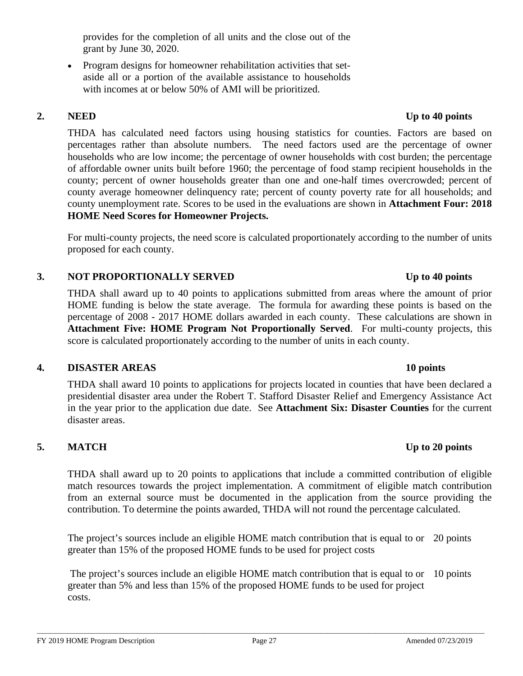provides for the completion of all units and the close out of the grant by June 30, 2020.

• Program designs for homeowner rehabilitation activities that setaside all or a portion of the available assistance to households with incomes at or below 50% of AMI will be prioritized.

THDA has calculated need factors using housing statistics for counties. Factors are based on percentages rather than absolute numbers. The need factors used are the percentage of owner households who are low income; the percentage of owner households with cost burden; the percentage of affordable owner units built before 1960; the percentage of food stamp recipient households in the county; percent of owner households greater than one and one-half times overcrowded; percent of county average homeowner delinquency rate; percent of county poverty rate for all households; and county unemployment rate. Scores to be used in the evaluations are shown in **Attachment Four: 2018 HOME Need Scores for Homeowner Projects.**

For multi-county projects, the need score is calculated proportionately according to the number of units proposed for each county.

### **3. NOT PROPORTIONALLY SERVED Up to 40 points**

THDA shall award up to 40 points to applications submitted from areas where the amount of prior HOME funding is below the state average. The formula for awarding these points is based on the percentage of 2008 - 2017 HOME dollars awarded in each county. These calculations are shown in **Attachment Five: HOME Program Not Proportionally Served**. For multi-county projects, this score is calculated proportionately according to the number of units in each county.

### **4. DISASTER AREAS 10 points**

THDA shall award 10 points to applications for projects located in counties that have been declared a presidential disaster area under the Robert T. Stafford Disaster Relief and Emergency Assistance Act in the year prior to the application due date. See **Attachment Six: Disaster Counties** for the current disaster areas.

### **5. MATCH Up to 20 points**

THDA shall award up to 20 points to applications that include a committed contribution of eligible match resources towards the project implementation. A commitment of eligible match contribution from an external source must be documented in the application from the source providing the contribution. To determine the points awarded, THDA will not round the percentage calculated.

The project's sources include an eligible HOME match contribution that is equal to or 20 points greater than 15% of the proposed HOME funds to be used for project costs

The project's sources include an eligible HOME match contribution that is equal to or 10 pointsgreater than 5% and less than 15% of the proposed HOME funds to be used for project costs.

# **2. NEED Up to 40 points**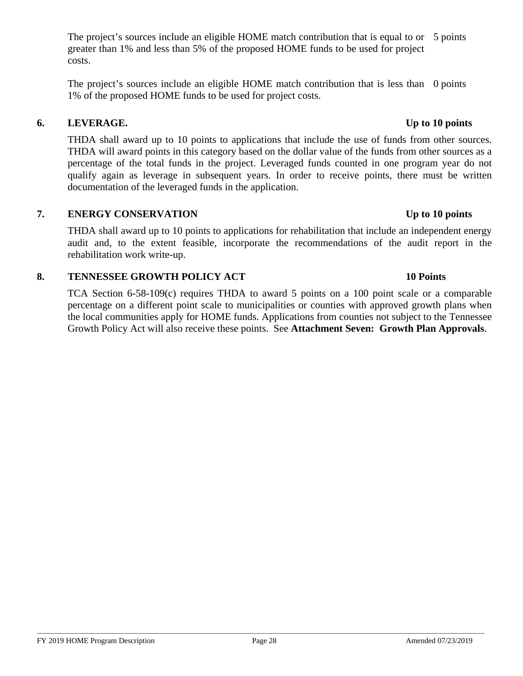The project's sources include an eligible HOME match contribution that is equal to or 5 points greater than 1% and less than 5% of the proposed HOME funds to be used for project costs.

The project's sources include an eligible HOME match contribution that is less than 0 points 1% of the proposed HOME funds to be used for project costs.

## **6. LEVERAGE. Up to 10 points**

THDA shall award up to 10 points to applications that include the use of funds from other sources. THDA will award points in this category based on the dollar value of the funds from other sources as a percentage of the total funds in the project. Leveraged funds counted in one program year do not qualify again as leverage in subsequent years. In order to receive points, there must be written documentation of the leveraged funds in the application.

### **7. ENERGY CONSERVATION Up to 10 points**

THDA shall award up to 10 points to applications for rehabilitation that include an independent energy audit and, to the extent feasible, incorporate the recommendations of the audit report in the rehabilitation work write-up.

#### **8. TENNESSEE GROWTH POLICY ACT 10 Points**

TCA Section 6-58-109(c) requires THDA to award 5 points on a 100 point scale or a comparable percentage on a different point scale to municipalities or counties with approved growth plans when the local communities apply for HOME funds. Applications from counties not subject to the Tennessee Growth Policy Act will also receive these points. See **Attachment Seven: Growth Plan Approvals**.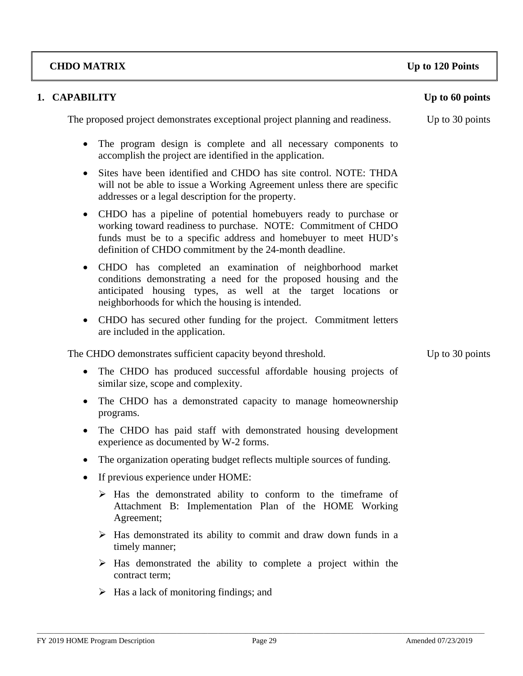#### **1. CAPABILITY** Up to 60 points

The proposed project demonstrates exceptional project planning and readiness. Up to 30 points

- The program design is complete and all necessary components to accomplish the project are identified in the application.
- Sites have been identified and CHDO has site control. NOTE: THDA will not be able to issue a Working Agreement unless there are specific addresses or a legal description for the property.
- CHDO has a pipeline of potential homebuyers ready to purchase or working toward readiness to purchase. NOTE: Commitment of CHDO funds must be to a specific address and homebuyer to meet HUD's definition of CHDO commitment by the 24-month deadline.
- CHDO has completed an examination of neighborhood market conditions demonstrating a need for the proposed housing and the anticipated housing types, as well at the target locations or neighborhoods for which the housing is intended.
- CHDO has secured other funding for the project. Commitment letters are included in the application.

The CHDO demonstrates sufficient capacity beyond threshold. Up to 30 points

- The CHDO has produced successful affordable housing projects of similar size, scope and complexity.
- The CHDO has a demonstrated capacity to manage homeownership programs.
- The CHDO has paid staff with demonstrated housing development experience as documented by W-2 forms.
- The organization operating budget reflects multiple sources of funding.
- If previous experience under HOME:
	- $\triangleright$  Has the demonstrated ability to conform to the timeframe of Attachment B: Implementation Plan of the HOME Working Agreement;
	- $\triangleright$  Has demonstrated its ability to commit and draw down funds in a timely manner;
	- $\triangleright$  Has demonstrated the ability to complete a project within the contract term;
	- $\triangleright$  Has a lack of monitoring findings; and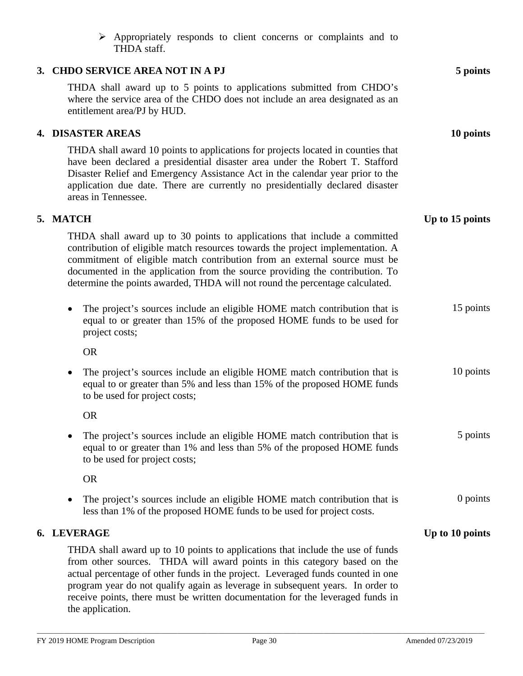| $\triangleright$ Appropriately responds to client concerns or complaints and to<br>THDA staff.                                                                                                                                                                                                                                                                                                                                        |                 |
|---------------------------------------------------------------------------------------------------------------------------------------------------------------------------------------------------------------------------------------------------------------------------------------------------------------------------------------------------------------------------------------------------------------------------------------|-----------------|
| 3. CHDO SERVICE AREA NOT IN A PJ                                                                                                                                                                                                                                                                                                                                                                                                      | 5 points        |
| THDA shall award up to 5 points to applications submitted from CHDO's<br>where the service area of the CHDO does not include an area designated as an<br>entitlement area/PJ by HUD.                                                                                                                                                                                                                                                  |                 |
| 4. DISASTER AREAS                                                                                                                                                                                                                                                                                                                                                                                                                     | 10 points       |
| THDA shall award 10 points to applications for projects located in counties that<br>have been declared a presidential disaster area under the Robert T. Stafford<br>Disaster Relief and Emergency Assistance Act in the calendar year prior to the<br>application due date. There are currently no presidentially declared disaster<br>areas in Tennessee.                                                                            |                 |
| 5. MATCH                                                                                                                                                                                                                                                                                                                                                                                                                              | Up to 15 points |
| THDA shall award up to 30 points to applications that include a committed<br>contribution of eligible match resources towards the project implementation. A<br>commitment of eligible match contribution from an external source must be<br>documented in the application from the source providing the contribution. To<br>determine the points awarded, THDA will not round the percentage calculated.                              |                 |
| The project's sources include an eligible HOME match contribution that is<br>equal to or greater than 15% of the proposed HOME funds to be used for<br>project costs;                                                                                                                                                                                                                                                                 | 15 points       |
| <b>OR</b>                                                                                                                                                                                                                                                                                                                                                                                                                             |                 |
| The project's sources include an eligible HOME match contribution that is<br>$\bullet$<br>equal to or greater than 5% and less than 15% of the proposed HOME funds<br>to be used for project costs;                                                                                                                                                                                                                                   | 10 points       |
| <b>OR</b>                                                                                                                                                                                                                                                                                                                                                                                                                             |                 |
| The project's sources include an eligible HOME match contribution that is<br>equal to or greater than 1% and less than 5% of the proposed HOME funds<br>to be used for project costs;                                                                                                                                                                                                                                                 | 5 points        |
| <b>OR</b>                                                                                                                                                                                                                                                                                                                                                                                                                             |                 |
| The project's sources include an eligible HOME match contribution that is<br>less than 1% of the proposed HOME funds to be used for project costs.                                                                                                                                                                                                                                                                                    | $0$ points      |
| 6. LEVERAGE                                                                                                                                                                                                                                                                                                                                                                                                                           | Up to 10 points |
| THDA shall award up to 10 points to applications that include the use of funds<br>from other sources. THDA will award points in this category based on the<br>actual percentage of other funds in the project. Leveraged funds counted in one<br>program year do not qualify again as leverage in subsequent years. In order to<br>receive points, there must be written documentation for the leveraged funds in<br>the application. |                 |